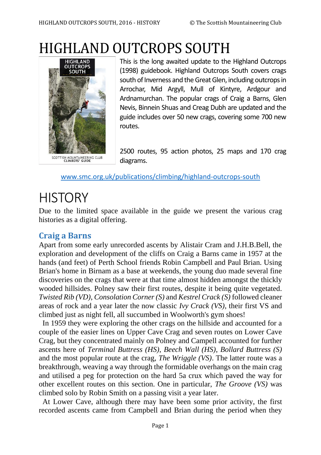# HIGHLAND OUTCROPS SOUTH



This is the long awaited update to the Highland Outcrops (1998) guidebook. Highland Outcrops South covers crags south of Inverness and the Great Glen, including outcrops in Arrochar, Mid Argyll, Mull of Kintyre, Ardgour and Ardnamurchan. The popular crags of Craig a Barns, Glen Nevis, Binnein Shuas and Creag Dubh are updated and the guide includes over 50 new crags, covering some 700 new routes.

2500 routes, 95 action photos, 25 maps and 170 crag diagrams.

[www.smc.org.uk/publications/climbing/highland-outcrops-south](http://www.smc.org.uk/publications/climbing/highland-outcrops-south)

## **HISTORY**

Due to the limited space available in the guide we present the various crag histories as a digital offering.

## **Craig a Barns**

Apart from some early unrecorded ascents by Alistair Cram and J.H.B.Bell, the exploration and development of the cliffs on Craig a Barns came in 1957 at the hands (and feet) of Perth School friends Robin Campbell and Paul Brian. Using Brian's home in Birnam as a base at weekends, the young duo made several fine discoveries on the crags that were at that time almost hidden amongst the thickly wooded hillsides. Polney saw their first routes, despite it being quite vegetated. *Twisted Rib (VD)*, *Consolation Corner (S)* and *Kestrel Crack (S)* followed cleaner areas of rock and a year later the now classic *Ivy Crack (VS)*, their first VS and climbed just as night fell, all succumbed in Woolworth's gym shoes!

 In 1959 they were exploring the other crags on the hillside and accounted for a couple of the easier lines on Upper Cave Crag and seven routes on Lower Cave Crag, but they concentrated mainly on Polney and Campell accounted for further ascents here of *Terminal Buttress (HS)*, *Beech Wall (HS)*, *Bollard Buttress (S)* and the most popular route at the crag, *The Wriggle (VS)*. The latter route was a breakthrough, weaving a way through the formidable overhangs on the main crag and utilised a peg for protection on the hard 5a crux which paved the way for other excellent routes on this section. One in particular, *The Groove (VS)* was climbed solo by Robin Smith on a passing visit a year later.

 At Lower Cave, although there may have been some prior activity, the first recorded ascents came from Campbell and Brian during the period when they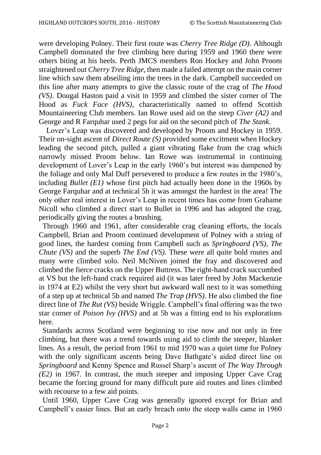were developing Polney. Their first route was *Cherry Tree Ridge (D)*. Although Campbell dominated the free climbing here during 1959 and 1960 there were others biting at his heels. Perth JMCS members Ron Hockey and John Proom straightened out *Cherry Tree Ridge*, then made a failed attempt on the main corner line which saw them abseiling into the trees in the dark. Campbell succeeded on this line after many attempts to give the classic route of the crag of *The Hood (VS)*. Dougal Haston paid a visit in 1959 and climbed the sister corner of The Hood as *Fuck Face (HVS)*, characteristically named to offend Scottish Mountaineering Club members. Ian Rowe used aid on the steep *Civer (A2)* and George and R Farquhar used 2 pegs for aid on the second pitch of *The Stank*.

 Lover's Leap was discovered and developed by Proom and Hockey in 1959. Their on-sight ascent of *Direct Route (S)* provided some excitment when Hockey leading the second pitch, pulled a giant vibrating flake from the crag which narrowly missed Proom below. Ian Rowe was instrumental in continuing development of Lover's Leap in the early 1960's but interest was dampened by the foliage and only Mal Duff persevered to produce a few routes in the 1980's, including *Bullet (E1)* whose first pitch had actually been done in the 1960s by George Farquhar and at technical 5b it was amongst the hardest in the area! The only other real interest in Lover's Leap in recent times has come from Grahame Nicoll who climbed a direct start to Bullet in 1996 and has adopted the crag, periodically giving the routes a brushing.

 Through 1960 and 1961, after considerable crag cleaning efforts, the locals Campbell, Brian and Proom continued development of Polney with a string of good lines, the hardest coming from Campbell such as *Springboard (VS)*, *The Chute (VS)* and the superb *The End (VS)*. These were all quite bold routes and many were climbed solo. Neil McNiven joined the fray and discovered and climbed the fierce cracks on the Upper Buttress. The right-hand crack succumbed at VS but the left-hand crack required aid (it was later freed by John Mackenzie in 1974 at E2) whilst the very short but awkward wall next to it was something of a step up at technical 5b and named *The Trap (HVS)*. He also climbed the fine direct line of *The Rut (VS)* beside Wriggle. Campbell's final offering was the two star corner of *Poison Ivy (HVS)* and at 5b was a fitting end to his explorations here.

 Standards across Scotland were beginning to rise now and not only in free climbing, but there was a trend towards using aid to climb the steeper, blanker lines. As a result, the period from 1961 to mid 1970 was a quiet time for Polney with the only significant ascents being Dave Bathgate's aided direct line on *Springboard* and Kenny Spence and Russel Sharp's ascent of *The Way Through (E2)* in 1967. In contrast, the much steeper and imposing Upper Cave Crag became the forcing ground for many difficult pure aid routes and lines climbed with recourse to a few aid points.

 Until 1960, Upper Cave Crag was generally ignored except for Brian and Campbell's easier lines. But an early breach onto the steep walls came in 1960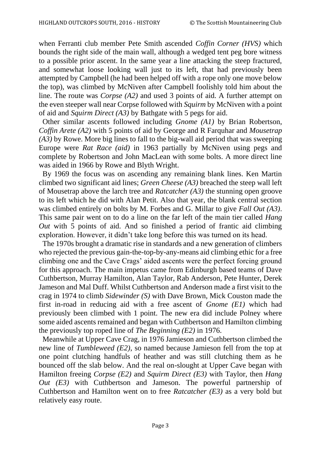when Ferranti club member Pete Smith ascended *Coffin Corner (HVS)* which bounds the right side of the main wall, although a wedged tent peg bore witness to a possible prior ascent. In the same year a line attacking the steep fractured, and somewhat loose looking wall just to its left, that had previously been attempted by Campbell (he had been helped off with a rope only one move below the top), was climbed by McNiven after Campbell foolishly told him about the line. The route was *Corpse (A2)* and used 3 points of aid. A further attempt on the even steeper wall near Corpse followed with *Squirm* by McNiven with a point of aid and *Squirm Direct (A3)* by Bathgate with 5 pegs for aid.

 Other similar ascents followed including *Gnome (A1)* by Brian Robertson, *Coffin Arete (A2)* with 5 points of aid by George and R Farquhar and *Mousetrap (A3)* by Rowe. More big lines to fall to the big-wall aid period that was sweeping Europe were *Rat Race (aid)* in 1963 partially by McNiven using pegs and complete by Robertson and John MacLean with some bolts. A more direct line was aided in 1966 by Rowe and Blyth Wright.

 By 1969 the focus was on ascending any remaining blank lines. Ken Martin climbed two significant aid lines; *Green Cheese (A3)* breached the steep wall left of Mousetrap above the larch tree and *Ratcatcher (A3)* the stunning open groove to its left which he did with Alan Petit. Also that year, the blank central section was climbed entirely on bolts by M. Forbes and G. Millar to give *Fall Out (A3)*. This same pair went on to do a line on the far left of the main tier called *Hang Out* with 5 points of aid. And so finished a period of frantic aid climbing exploration. However, it didn't take long before this was turned on its head.

 The 1970s brought a dramatic rise in standards and a new generation of climbers who rejected the previous gain-the-top-by-any-means aid climbing ethic for a free climbing one and the Cave Crags' aided ascents were the perfect forcing ground for this approach. The main impetus came from Edinburgh based teams of Dave Cuthbertson, Murray Hamilton, Alan Taylor, Rab Anderson, Pete Hunter, Derek Jameson and Mal Duff. Whilst Cuthbertson and Anderson made a first visit to the crag in 1974 to climb *Sidewinder (S)* with Dave Brown, Mick Couston made the first in-road in reducing aid with a free ascent of *Gnome (E1)* which had previously been climbed with 1 point. The new era did include Polney where some aided ascents remained and began with Cuthbertson and Hamilton climbing the previously top roped line of *The Beginning (E2)* in 1976.

 Meanwhile at Upper Cave Crag, in 1976 Jamieson and Cuthbertson climbed the new line of *Tumbleweed (E2)*, so named because Jamieson fell from the top at one point clutching handfuls of heather and was still clutching them as he bounced off the slab below. And the real on-slought at Upper Cave began with Hamilton freeing *Corpse (E2)* and *Squirm Direct (E3)* with Taylor, then *Hang Out (E3)* with Cuthbertson and Jameson. The powerful partnership of Cuthbertson and Hamilton went on to free *Ratcatcher (E3)* as a very bold but relatively easy route.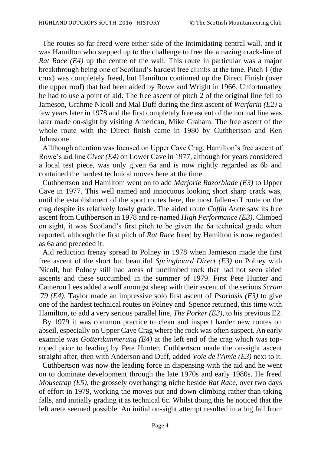The routes so far freed were either side of the intimidating central wall, and it was Hamilton who stepped up to the challenge to free the amazing crack-line of *Rat Race (E4)* up the centre of the wall. This route in particular was a major breakthrough being one of Scotland's hardest free climbs at the time. Pitch 1 (the crux) was completely freed, but Hamilton continued up the Direct Finish (over the upper roof) that had been aided by Rowe and Wright in 1966. Unfortunatley he had to use a point of aid. The free ascent of pitch 2 of the original line fell to Jameson, Grahme Nicoll and Mal Duff during the first ascent of *Warfarin (E2)* a few years later in 1978 and the first completely free ascent of the normal line was later made on-sight by visiting American, Mike Graham. The free ascent of the whole route with the Direct finish came in 1980 by Cuthbertson and Ken Johnstone.

 Allthough attention was focused on Upper Cave Crag, Hamilton's free ascent of Rowe's aid line *Civer (E4)* on Lower Cave in 1977, although for years considered a local test piece, was only given 6a and is now rightly regarded as 6b and contained the hardest technical moves here at the time.

 Cuthbertson and Hamiltom went on to add *Marjorie Razorblade (E3)* to Upper Cave in 1977. This well named and innocuous looking short sharp crack was, until the establishment of the sport routes here, the most fallen-off route on the crag despite its relatively lowly grade. The aided route *Coffin Arete* saw its free ascent from Cuthbertson in 1978 and re-named *High Performance (E3)*. Climbed on sight, it was Scotland's first pitch to be given the 6a technical grade when reported, although the first pitch of *Rat Race* freed by Hamilton is now regarded as 6a and preceded it.

 Aid reduction frenzy spread to Polney in 1978 when Jamieson made the first free ascent of the short but beautiful *Springboard Direct (E3)* on Polney with Nicoll, but Polney still had areas of unclimbed rock that had not seen aided ascents and these succumbed in the summer of 1979. First Pete Hunter and Cameron Lees added a wolf amongst sheep with their ascent of the serious *Scram '79 (E4)*, Taylor made an impressive solo first ascent of *Psoriasis (E3)* to give one of the hardest technical routes on Polney and Spence returned, this time with Hamilton, to add a very serious parallel line, *The Porker (E3)*, to his previous E2.

 By 1979 it was common practice to clean and inspect harder new routes on abseil, especially on Upper Cave Crag where the rock was often suspect. An early example was *Gotterdammerung (E4)* at the left end of the crag which was toproped prior to leading by Pete Hunter. Cuthbertson made the on-sight ascent straight after, then with Anderson and Duff, added *Voie de l'Amie (E3)* next to it.

 Cuthbertson was now the leading force in dispensing with the aid and he went on to dominate development through the late 1970s and early 1980s. He freed *Mousetrap (E5)*, the grossely overhanging niche beside *Rat Race*, over two days of effort in 1979, working the moves out and down-climbing rather than taking falls, and initially grading it as technical 6c. Whilst doing this he noticed that the left arete seemed possible. An initial on-sight attempt resulted in a big fall from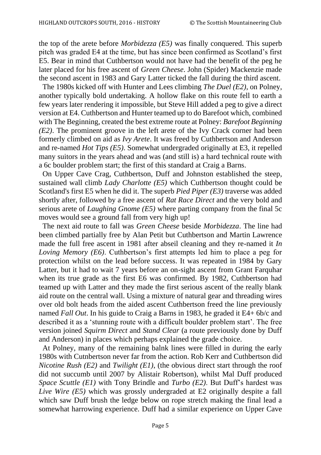the top of the arete before *Morbidezza (E5)* was finally conquered. This superb pitch was graded E4 at the time, but has since been confirmed as Scotland's first E5. Bear in mind that Cuthbertson would not have had the benefit of the peg he later placed for his free ascent of *Green Cheese*. John (Spider) Mackenzie made the second ascent in 1983 and Gary Latter ticked the fall during the third ascent.

 The 1980s kicked off with Hunter and Lees climbing *The Duel (E2)*, on Polney, another typically bold undertaking. A hollow flake on this route fell to earth a few years later rendering it impossible, but Steve Hill added a peg to give a direct version at E4. Cuthbertson and Hunter teamed up to do Barefoot which, combined with The Beginning, created the best extreme route at Polney: *Barefoot Beginning (E2)*. The prominent groove in the left arete of the Ivy Crack corner had been formerly climbed on aid as *Ivy Arete*. It was freed by Cuthbertson and Anderson and re-named *Hot Tips (E5)*. Somewhat undergraded originally at E3, it repelled many suitors in the years ahead and was (and still is) a hard technical route with a 6c boulder problem start; the first of this standard at Craig a Barns.

 On Upper Cave Crag, Cuthbertson, Duff and Johnston established the steep, sustained wall climb *Lady Charlotte (E5)* which Cuthbertson thought could be Scotland's first E5 when he did it. The superb *Pied Piper (E3)* traverse was added shortly after, followed by a free ascent of *Rat Race Direct* and the very bold and serious arete of *Laughing Gnome (E5)* where parting company from the final 5c moves would see a ground fall from very high up!

 The next aid route to fall was *Green Cheese* beside *Morbidezza*. The line had been climbed partially free by Alan Petit but Cuthbertson and Martin Lawrence made the full free ascent in 1981 after abseil cleaning and they re-named it *In Loving Memory (E6)*. Cuthbertson's first attempts led him to place a peg for protection whilst on the lead before success. It was repeated in 1984 by Gary Latter, but it had to wait 7 years before an on-sight ascent from Grant Farquhar when its true grade as the first E6 was confirmed. By 1982, Cuthbertson had teamed up with Latter and they made the first serious ascent of the really blank aid route on the central wall. Using a mixture of natural gear and threading wires over old bolt heads from the aided ascent Cuthbertson freed the line previously named *Fall Out*. In his guide to Craig a Barns in 1983, he graded it E4+ 6b/c and described it as a 'stunning route with a difficult boulder problem start'. The free version joined *Squirm Direct* and *Stand Clear* (a route previously done by Duff and Anderson) in places which perhaps explained the grade choice.

 At Polney, many of the remaining balnk lines were filled in during the early 1980s with Cutnbertson never far from the action. Rob Kerr and Cuthbertson did *Nicotine Rush (E2)* and *Twilight (E1)*, (the obvious direct start through the roof did not succumb until 2007 by Alistair Robertson), whilst Mal Duff produced *Space Scuttle (E1)* with Tony Brindle and *Turbo (E2)*. But Duff's hardest was *Live Wire (E5)* which was grossly undergraded at E2 originally despite a fall which saw Duff brush the ledge below on rope stretch making the final lead a somewhat harrowing experience. Duff had a similar experience on Upper Cave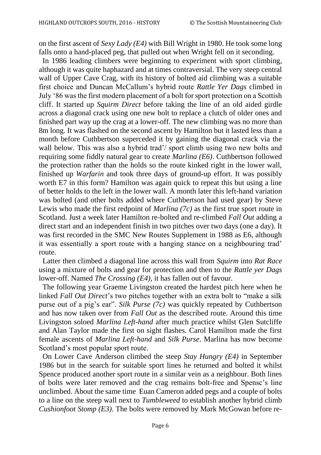on the first ascent of *Sexy Lady (E4)* with Bill Wright in 1980. He took some long falls onto a hand-placed peg, that pulled out when Wright fell on it seconding.

 In 1986 leading climbers were beginning to experiment with sport climbing, although it was quite haphazard and at times contraversial. The very steep central wall of Upper Cave Crag, with its history of bolted aid climbing was a suitable first choice and Duncan McCallum's hybrid route *Rattle Yer Dags* climbed in July '86 was the first modern placement of a bolt for sport protection on a Scottish cliff. It started up *Squirm Direct* before taking the line of an old aided girdle across a diagonal crack using one new bolt to replace a clutch of older ones and finished part way up the crag at a lower-off. The new climbing was no more than 8m long. It was flashed on the second ascent by Hamilton but it lasted less than a month before Cuthbertson superceded it by gaining the diagonal crack via the wall below. This was also a hybrid trad'/ sport climb using two new bolts and requiring some fiddly natural gear to create *Marlina (E6)*. Cuthbertson followed the protection rather than the holds so the route kinked right in the lower wall, finished up *Warfarin* and took three days of ground-up effort. It was possibly worth E7 in this form? Hamilton was again quick to repeat this but using a line of better holds to the left in the lower wall. A month later this left-hand variation was bolted (and other bolts added where Cuthbertson had used gear) by Steve Lewis who made the first redpoint of *Marlina (7c)* as the first true sport route in Scotland. Just a week later Hamilton re-bolted and re-climbed *Fall Out* adding a direct start and an independent finish in two pitches over two days (one a day). It was first recorded in the SMC New Routes Supplement in 1988 as E6, although it was essentially a sport route with a hanging stance on a neighbouring trad' route.

 Latter then climbed a diagonal line across this wall from *Squirm* into *Rat Race* using a mixture of bolts and gear for protection and then to the *Rattle yer Dags* lower-off. Named *The Crossing (E4)*, it has fallen out of favour.

 The following year Graeme Livingston created the hardest pitch here when he linked *Fall Out Direct*'s two pitches together with an extra bolt to "make a silk purse out of a pig's ear". *Silk Purse (7c)* was quickly repeated by Cuthbertson and has now taken over from *Fall Out* as the described route. Around this time Livingston soloed *Marlina Left-hand* after much practice whilst Glen Sutcliffe and Alan Taylor made the first on sight flashes. Carol Hamilton made the first female ascents of *Marlina Left-hand* and *Silk Purse*. Marlina has now become Scotland's most popular sport route.

 On Lower Cave Anderson climbed the steep *Stay Hungry (E4)* in September 1986 but in the search for suitable sport lines he returned and bolted it whilst Spence produced another sport route in a similar vein as a neighbour. Both lines of bolts were later removed and the crag remains bolt-free and Spensc's line unclimbed. About the same time Euan Cameron added pegs and a couple of bolts to a line on the steep wall next to *Tumbleweed* to establish another hybrid climb *Cushionfoot Stomp (E3)*. The bolts were removed by Mark McGowan before re-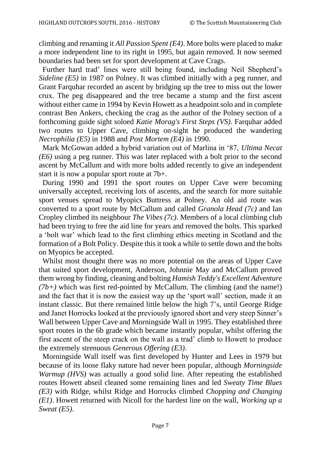climbing and renaming it *All Passion Spent (E4)*. More bolts were placed to make a more independent line to its right in 1995, but again removed. It now seemed boundaries had been set for sport development at Cave Crags.

 Further hard trad' lines were still being found, including Neil Shepherd's *Sideline (E5)* in 1987 on Polney. It was climbed initially with a peg runner, and Grant Farquhar recorded an ascent by bridging up the tree to miss out the lower crux. The peg disappeared and the tree became a stump and the first ascent without either came in 1994 by Kevin Howett as a headpoint solo and in complete contrast Ben Ankers, checking the crag as the author of the Polney section of a forthcoming guide sight soloed *Katie Morag's First Steps (VS)*. Farquhar added two routes to Upper Cave, climbing on-sight he produced the wandering *Necrophilia (E5)* in 1988 and *Post Mortem (E4)* in 1990.

 Mark McGowan added a hybrid variation out of Marlina in '87, *Ultima Necat (E6)* using a peg runner. This was later replaced with a bolt prior to the second ascent by McCallum and with more bolts added recently to give an independent start it is now a popular sport route at 7b+.

 During 1990 and 1991 the sport routes on Upper Cave were becoming universally accepted, receiving lots of ascents, and the search for more suitable sport venues spread to Myopics Buttress at Polney. An old aid route was converted to a sport route by McCallum and called *Granola Head (7c)* and Ian Cropley climbed its neighbour *The Vibes (7c)*. Members of a local climbing club had been trying to free the aid line for years and removed the bolts. This sparked a 'bolt war' which lead to the first climbing ethics meeting in Scotland and the formation of a Bolt Policy. Despite this it took a while to settle down and the bolts on Myopics be accepted.

 Whilst most thought there was no more potential on the areas of Upper Cave that suited sport development, Anderson, Johnnie May and McCallum proved them wrong by finding, cleaning and bolting *Hamish Teddy's Excellent Adventure*   $(7b+)$  which was first red-pointed by McCallum. The climbing (and the name!) and the fact that it is now the easiest way up the 'sport wall' section, made it an instant classic. But there remained little below the high 7's, until George Ridge and Janet Horrocks looked at the previously ignored short and very steep Sinner's Wall between Upper Cave and Morningside Wall in 1995. They established three sport routes in the 6b grade which became instantly popular, whilst offering the first ascent of the steep crack on the wall as a trad' climb to Howett to produce the extremely strenuous *Generous Offering (E3)*.

 Morningside Wall itself was first developed by Hunter and Lees in 1979 but because of its loose flaky nature had never been popular, although *Morningside Warmup (HVS)* was actually a good solid line. After repeating the established routes Howett abseil cleaned some remaining lines and led *Sweaty Time Blues (E3)* with Ridge, whilst Ridge and Horrocks climbed *Chopping and Changing (E1)*. Howett returned with Nicoll for the hardest line on the wall, *Working up a Sweat (E5)*.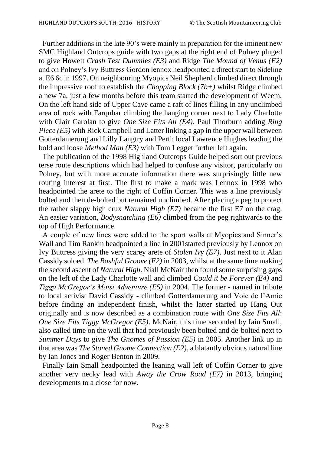Further additions in the late 90's were mainly in preparation for the iminent new SMC Highland Outcrops guide with two gaps at the right end of Polney pluged to give Howett *Crash Test Dummies (E3)* and Ridge *The Mound of Venus (E2)* and on Polney's Ivy Buttress Gordon lennox headpointed a direct start to Sideline at E6 6c in 1997. On neighbouring Myopics Neil Shepherd climbed direct through the impressive roof to establish the *Chopping Block (7b+)* whilst Ridge climbed a new 7a, just a few months before this team started the development of Weem. On the left hand side of Upper Cave came a raft of lines filling in any unclimbed area of rock with Farquhar climbing the hanging corner next to Lady Charlotte with Clair Carolan to give *One Size Fits All (E4)*, Paul Thorburn adding *Ring Piece (E5)* with Rick Campbell and Latter linking a gap in the upper wall between Gotterdamerung and Lilly Langtry and Perth local Lawrence Hughes leading the bold and loose *Method Man (E3)* with Tom Legget further left again.

 The publication of the 1998 Highland Outcrops Guide helped sort out previous terse route descriptions which had helped to confuse any visitor, particularly on Polney, but with more accurate information there was surprisingly little new routing interest at first. The first to make a mark was Lennox in 1998 who headpointed the arete to the right of Coffin Corner. This was a line previously bolted and then de-bolted but remained unclimbed. After placing a peg to protect the rather slappy high crux *Natural High (E7)* became the first E7 on the crag. An easier variation, *Bodysnatching (E6)* climbed from the peg rightwards to the top of High Performance.

 A couple of new lines were added to the sport walls at Myopics and Sinner's Wall and Tim Rankin headpointed a line in 2001started previously by Lennox on Ivy Buttress giving the very scarey arete of *Stolen Ivy (E7)*. Just next to it Alan Cassidy soloed *The Bashful Groove (E2)* in 2003, whilst at the same time making the second ascent of *Natural High*. Niall McNair then found some surprising gaps on the left of the Lady Charlotte wall and climbed *Could it be Forever (E4)* and *Tiggy McGregor's Moist Adventure (E5)* in 2004. The former - named in tribute to local activist David Cassidy - climbed Gotterdamerung and Voie de l'Amie before finding an independent finish, whilst the latter started up Hang Out originally and is now described as a combination route with *One Size Fits All*: *One Size Fits Tiggy McGregor (E5)*. McNair, this time seconded by Iain Small, also called time on the wall that had previously been bolted and de-bolted next to *Summer Days* to give *The Gnomes of Passion (E5)* in 2005. Another link up in that area was *The Stoned Gnome Connection (E2)*, a blatantly obvious natural line by Ian Jones and Roger Benton in 2009.

 Finally Iain Small headpointed the leaning wall left of Coffin Corner to give another very necky lead with *Away the Crow Road (E7)* in 2013, bringing developments to a close for now.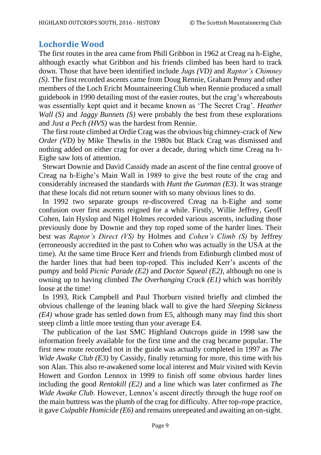## **Lochordie Wood**

The first routes in the area came from Phill Gribbon in 1962 at Creag na h-Eighe, although exactly what Gribbon and his friends climbed has been hard to track down. Those that have been identified include *Jugs (VD)* and *Raptor's Chimney (S)*. The first recorded ascents came from Doug Rennie, Graham Penny and other members of the Loch Ericht Mountaineering Club when Rennie produced a small guidebook in 1990 detailing most of the easier routes, but the crag's whereabouts was essentially kept quiet and it became known as 'The Secret Crag'. *Heather Wall (S)* and *Jaggy Bunnets (S)* were probably the best from these explorations and *Just a Pech (HVS)* was the hardest from Rennie.

 The first route climbed at Ordie Crag was the obvious big chimney-crack of *New Order (VD)* by Mike Thewlis in the 1980s but Black Crag was dismissed and nothing added on either crag for over a decade, during which time Creag na h-Eighe saw lots of attention.

 Stewart Downie and David Cassidy made an ascent of the fine central groove of Creag na h-Eighe's Main Wall in 1989 to give the best route of the crag and considerably increased the standards with *Hunt the Gunman (E3)*. It was strange that these locals did not return sooner with so many obvious lines to do.

 In 1992 two separate groups re-discovered Creag na h-Eighe and some confusion over first ascents reigned for a while. Firstly, Willie Jeffrey, Geoff Cohen, Iain Hyslop and Nigel Holmes recorded various ascents, including those previously done by Downie and they top roped some of the harder lines. Their best was *Raptor's Direct (VS)* by Holmes and *Cohen's Climb (S)* by Jeffrey (erroneously accredited in the past to Cohen who was actually in the USA at the time). At the same time Bruce Kerr and friends from Edinburgh climbed most of the harder lines that had been top-roped. This included Kerr's ascents of the pumpy and bold *Picnic Parade (E2)* and *Doctor Squeal (E2)*, although no one is owning up to having climbed *The Overhanging Crack (E1)* which was horribly loose at the time!

 In 1993, Rick Campbell and Paul Thorburn visited briefly and climbed the obvious challenge of the leaning black wall to give the hard *Sleeping Sickness (E4)* whose grade has settled down from E5, although many may find this short steep climb a little more testing than your average E4.

 The publication of the last SMC Highland Outcrops guide in 1998 saw the information freely available for the first time and the crag became popular. The first new route recorded not in the guide was actually completed in 1997 as *The Wide Awake Club (E3)* by Cassidy, finally returning for more, this time with his son Alan. This also re-awakened some local interest and Muir visited with Kevin Howett and Gordon Lennox in 1999 to finish off some obvious harder lines including the good *Rentokill (E2)* and a line which was later confirmed as *The Wide Awake Club*. However, Lennox's ascent directly through the huge roof on the main buttress was the plumb of the crag for difficulty. After top-rope practice, it gave *Culpable Homicide (E6)* and remains unrepeated and awaiting an on-sight.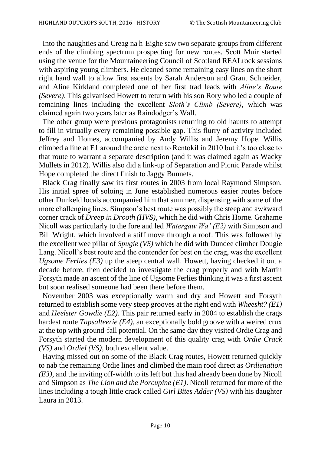Into the naughties and Creag na h-Eighe saw two separate groups from different ends of the climbing spectrum prospecting for new routes. Scott Muir started using the venue for the Mountaineering Council of Scotland REALrock sessions with aspiring young climbers. He cleaned some remaining easy lines on the short right hand wall to allow first ascents by Sarah Anderson and Grant Schneider, and Aline Kirkland completed one of her first trad leads with *Aline's Route (Severe)*. This galvanised Howett to return with his son Rory who led a couple of remaining lines including the excellent *Sloth's Climb (Severe)*, which was claimed again two years later as Raindodger's Wall.

 The other group were previous protagonists returning to old haunts to attempt to fill in virtually every remaining possible gap. This flurry of activity included Jeffrey and Homes, accompanied by Andy Willis and Jeremy Hope. Willis climbed a line at E1 around the arete next to Rentokil in 2010 but it's too close to that route to warrant a separate description (and it was claimed again as Wacky Mullets in 2012). Willis also did a link-up of Separation and Picnic Parade whilst Hope completed the direct finish to Jaggy Bunnets.

 Black Crag finally saw its first routes in 2003 from local Raymond Simpson. His initial spree of soloing in June established numerous easier routes before other Dunkeld locals accompanied him that summer, dispensing with some of the more challenging lines. Simpson's best route was possibly the steep and awkward corner crack of *Dreep in Drooth (HVS)*, which he did with Chris Horne. Grahame Nicoll was particularly to the fore and led *Watergaw Wa' (E2)* with Simpson and Bill Wright, which involved a stiff move through a roof. This was followed by the excellent wee pillar of *Spugie (VS)* which he did with Dundee climber Dougie Lang. Nicoll's best route and the contender for best on the crag, was the excellent *Ugsome Ferlies (E3)* up the steep central wall. Howett, having checked it out a decade before, then decided to investigate the crag properly and with Martin Forsyth made an ascent of the line of Ugsome Ferlies thinking it was a first ascent but soon realised someone had been there before them.

 November 2003 was exceptionally warm and dry and Howett and Forsyth returned to establish some very steep grooves at the right end with *Wheesht? (E1)* and *Heelster Gowdie (E2)*. This pair returned early in 2004 to establish the crags hardest route *Tapsalteerie (E4)*, an exceptionally bold groove with a weired crux at the top with ground-fall potential. On the same day they visited Ordie Crag and Forsyth started the modern development of this quality crag with *Ordie Crack (VS)* and *Ordiel (VS)*, both excellent value.

 Having missed out on some of the Black Crag routes, Howett returned quickly to nab the remaining Ordie lines and climbed the main roof direct as *Ordienation (E3)*, and the inviting off-width to its left but this had already been done by Nicoll and Simpson as *The Lion and the Porcupine (E1)*. Nicoll returned for more of the lines including a tough little crack called *Girl Bites Adder (VS)* with his daughter Laura in 2013.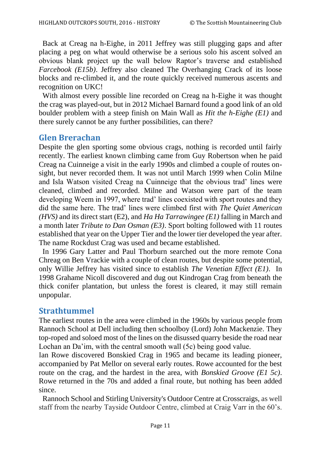Back at Creag na h-Eighe, in 2011 Jeffrey was still plugging gaps and after placing a peg on what would otherwise be a serious solo his ascent solved an obvious blank project up the wall below Raptor's traverse and established *Farcebook (E15b)*. Jeffrey also cleaned The Overhanging Crack of its loose blocks and re-climbed it, and the route quickly received numerous ascents and recognition on UKC!

 With almost every possible line recorded on Creag na h-Eighe it was thought the crag was played-out, but in 2012 Michael Barnard found a good link of an old boulder problem with a steep finish on Main Wall as *Hit the h-Eighe (E1)* and there surely cannot be any further possibilities, can there?

## **Glen Brerachan**

Despite the glen sporting some obvious crags, nothing is recorded until fairly recently. The earliest known climbing came from Guy Robertson when he paid Creag na Cuinneige a visit in the early 1990s and climbed a couple of routes onsight, but never recorded them. It was not until March 1999 when Colin Milne and Isla Watson visited Creag na Cuinneige that the obvious trad' lines were cleaned, climbed and recorded. Milne and Watson were part of the team developing Weem in 1997, where trad' lines coexisted with sport routes and they did the same here. The trad' lines were climbed first with *The Quiet American (HVS)* and its direct start (E2), and *Ha Ha Tarrawingee (E1)* falling in March and a month later *Tribute to Dan Osman (E3)*. Sport bolting followed with 11 routes established that year on the Upper Tier and the lower tier developed the year after. The name Rockdust Crag was used and became established.

 In 1996 Gary Latter and Paul Thorburn searched out the more remote Cona Chreag on Ben Vrackie with a couple of clean routes, but despite some potential, only Willie Jeffrey has visited since to establish *The Venetian Effect (E1)*. In 1998 Grahame Nicoll discovered and dug out Kindrogan Crag from beneath the thick conifer plantation, but unless the forest is cleared, it may still remain unpopular.

#### **Strathtummel**

The earliest routes in the area were climbed in the 1960s by various people from Rannoch School at Dell including then schoolboy (Lord) John Mackenzie. They top-roped and soloed most of the lines on the disussed quarry beside the road near Lochan an Da'im, with the central smooth wall (5c) being good value.

Ian Rowe discovered Bonskied Crag in 1965 and became its leading pioneer, accompanied by Pat Mellor on several early routes. Rowe accounted for the best route on the crag, and the hardest in the area, with *Bonskied Groove (E1 5c)*. Rowe returned in the 70s and added a final route, but nothing has been added since.

 Rannoch School and Stirling University's Outdoor Centre at Crosscraigs, as well staff from the nearby Tayside Outdoor Centre, climbed at Craig Varr in the 60's.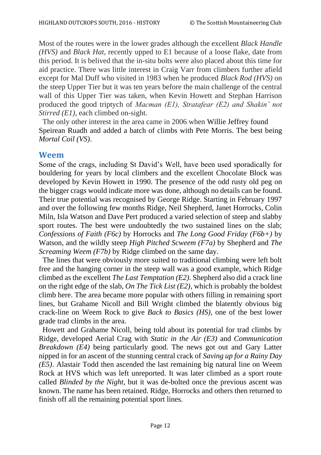Most of the routes were in the lower grades although the excellent *Black Handle (HVS)* and *Black Hat*, recently upped to E1 because of a loose flake, date from this period. It is belived that the in-situ bolts were also placed about this time for aid practice. There was little interest in Craig Varr from climbers further afield except for Mal Duff who visited in 1983 when he produced *Black Rod (HVS)* on the steep Upper Tier but it was ten years before the main challenge of the central wall of this Upper Tier was taken, when Kevin Howett and Stephan Harrison produced the good triptych of *Macman (E1), Stratafear (E2) and Shakin' not Stirred (E1)*, each climbed on-sight.

 The only other interest in the area came in 2006 when Willie Jeffrey found Speirean Ruadh and added a batch of climbs with Pete Morris. The best being *Mortal Coil (VS)*.

## **Weem**

Some of the crags, including St David's Well, have been used sporadically for bouldering for years by local climbers and the excellent Chocolate Block was developed by Kevin Howett in 1990. The presence of the odd rusty old peg on the bigger crags would indicate more was done, although no details can be found. Their true potential was recognised by George Ridge. Starting in February 1997 and over the following few months Ridge, Neil Shepherd, Janet Horrocks, Colin Miln, Isla Watson and Dave Pert produced a varied selection of steep and slabby sport routes. The best were undoubtedly the two sustained lines on the slab; *Confessions of Faith (F6c)* by Horrocks and *The Long Good Friday (F6b+)* by Watson, and the wildly steep *High Pitched Scweem (F7a)* by Shepherd and *The Screaming Weem (F7b)* by Ridge climbed on the same day.

 The lines that were obviously more suited to traditional climbing were left bolt free and the hanging corner in the steep wall was a good example, which Ridge climbed as the excellent *The Last Temptation (E2)*. Shepherd also did a crack line on the right edge of the slab, *On The Tick List (E2)*, which is probably the boldest climb here. The area became more popular with others filling in remaining sport lines, but Grahame Nicoll and Bill Wright climbed the blatently obvious big crack-line on Weem Rock to give *Back to Basics (HS)*, one of the best lower grade trad climbs in the area.

 Howett and Grahame Nicoll, being told about its potential for trad climbs by Ridge, developed Aerial Crag with *Static in the Air (E3)* and *Communication Breakdown (E4)* being particularly good. The news got out and Gary Latter nipped in for an ascent of the stunning central crack of *Saving up for a Rainy Day (E5)*. Alastair Todd then ascended the last remaining big natural line on Weem Rock at HVS which was left unreported. It was later climbed as a sport route called *Blinded by the Night*, but it was de-bolted once the previous ascent was known. The name has been retained. Ridge, Horrocks and others then returned to finish off all the remaining potential sport lines.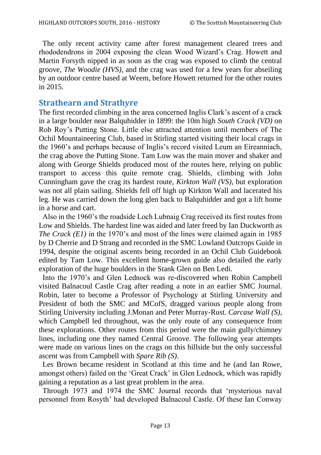The only recent activity came after forest management cleared trees and rhododendrons in 2004 exposing the clean Wood Wizard's Crag. Howett and Martin Forsyth nipped in as soon as the crag was exposed to climb the central groove, *The Woodie (HVS)*, and the crag was used for a few years for abseiling by an outdoor centre based at Weem, before Howett returned for the other routes in 2015.

## **Strathearn and Strathyre**

The first recorded climbing in the area concerned Inglis Clark's ascent of a crack in a large boulder near Balquhidder in 1899: the 10m high *South Crack (VD)* on Rob Roy's Putting Stone. Little else attracted attention until members of The Ochil Mountaineering Club, based in Stirling started visiting their local crags in the 1960's and perhaps because of Inglis's record visited Leum an Eireanniach, the crag above the Putting Stone. Tam Low was the main mover and shaker and along with George Shields produced most of the routes here, relying on public transport to access this quite remote crag. Shields, climbing with John Cunningham gave the crag its hardest route, *Kirkton Wall (VS)*, but exploration was not all plain sailing. Shields fell off high up Kirkton Wall and lacerated his leg. He was carried down the long glen back to Balquhidder and got a lift home in a horse and cart.

 Also in the 1960's the roadside Loch Lubnaig Crag received its first routes from Low and Shields. The hardest line was aided and later freed by Ian Duckworth as *The Crack (E1)* in the 1970's and most of the lines were claimed again in 1985 by D Cherrie and D Strang and recorded in the SMC Lowland Outcrops Guide in 1994, despite the original ascents being recorded in an Ochil Club Guidebook edited by Tam Low. This excellent home-grown guide also detailed the early exploration of the huge boulders in the Stank Glen on Ben Ledi.

 Into the 1970's and Glen Lednock was re-discovered when Robin Campbell visited Balnacoul Castle Crag after reading a note in an earlier SMC Journal. Robin, later to become a Professor of Psychology at Stirling University and President of both the SMC and MCofS, dragged various people along from Stirling University including J.Monan and Peter Murray-Rust. *Carcase Wall (S)*, which Campbell led throughout, was the only route of any consequence from these explorations. Other routes from this period were the main gully/chimney lines, including one they named Central Groove. The following year attempts were made on various lines on the crags on this hillside but the only successful ascent was from Campbell with *Spare Rib (S)*.

 Les Brown became resident in Scotland at this time and he (and Ian Rowe, amongst others) failed on the 'Great Crack' in Glen Lednock, which was rapidly gaining a reputation as a last great problem in the area.

 Through 1973 and 1974 the SMC Journal records that 'mysterious naval personnel from Rosyth' had developed Balnacoul Castle. Of these Ian Conway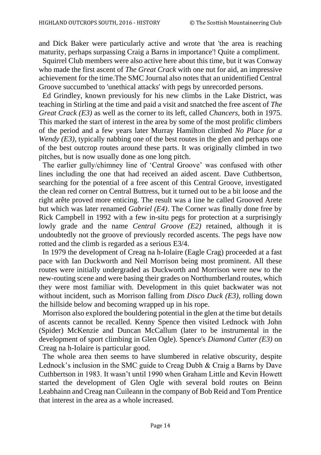and Dick Baker were particularly active and wrote that 'the area is reaching maturity, perhaps surpassing Craig a Barns in importance'! Quite a compliment.

 Squirrel Club members were also active here about this time, but it was Conway who made the first ascent of *The Great Crack* with one nut for aid, an impressive achievement for the time.The SMC Journal also notes that an unidentified Central Groove succumbed to 'unethical attacks' with pegs by unrecorded persons.

 Ed Grindley, known previously for his new climbs in the Lake District, was teaching in Stirling at the time and paid a visit and snatched the free ascent of *The Great Crack (E3)* as well as the corner to its left, called *Chancers*, both in 1975. This marked the start of interest in the area by some of the most prolific climbers of the period and a few years later Murray Hamilton climbed *No Place for a Wendy (E3)*, typically nabbing one of the best routes in the glen and perhaps one of the best outcrop routes around these parts. It was originally climbed in two pitches, but is now usually done as one long pitch.

 The earlier gully/chimney line of 'Central Groove' was confused with other lines including the one that had received an aided ascent. Dave Cuthbertson, searching for the potential of a free ascent of this Central Groove, investigated the clean red corner on Central Buttress, but it turned out to be a bit loose and the right arête proved more enticing. The result was a line he called Grooved Arete but which was later renamed *Gabriel (E4)*. The Corner was finally done free by Rick Campbell in 1992 with a few in-situ pegs for protection at a surprisingly lowly grade and the name *Central Groove (E2)* retained, although it is undoubtedly not the groove of previously recorded ascents. The pegs have now rotted and the climb is regarded as a serious E3/4.

 In 1979 the development of Creag na h-Iolaire (Eagle Crag) proceeded at a fast pace with Ian Duckworth and Neil Morrison being most prominent. All these routes were initially undergraded as Duckworth and Morrison were new to the new-routing scene and were basing their grades on Northumberland routes, which they were most familiar with. Development in this quiet backwater was not without incident, such as Morrison falling from *Disco Duck (E3)*, rolling down the hillside below and becoming wrapped up in his rope.

 Morrison also explored the bouldering potential in the glen at the time but details of ascents cannot be recalled. Kenny Spence then visited Lednock with John (Spider) McKenzie and Duncan McCallum (later to be instrumental in the development of sport climbing in Glen Ogle). Spence's *Diamond Cutter (E3)* on Creag na h-Iolaire is particular good.

 The whole area then seems to have slumbered in relative obscurity, despite Lednock's inclusion in the SMC guide to Creag Dubh & Craig a Barns by Dave Cuthbertson in 1983. It wasn't until 1990 when Graham Little and Kevin Howett started the development of Glen Ogle with several bold routes on Beinn Leabhainn and Creag nan Cuileann in the company of Bob Reid and Tom Prentice that interest in the area as a whole increased.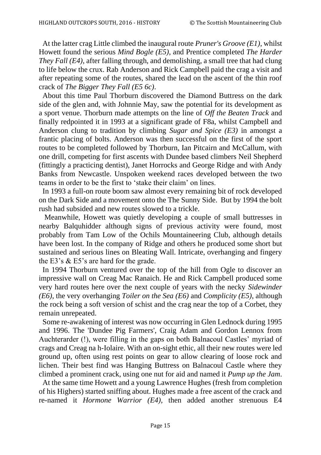At the latter crag Little climbed the inaugural route *Pruner's Groove (E1)*, whilst Howett found the serious *Mind Bogle (E5)*, and Prentice completed *The Harder They Fall (E4)*, after falling through, and demolishing, a small tree that had clung to life below the crux. Rab Anderson and Rick Campbell paid the crag a visit and after repeating some of the routes, shared the lead on the ascent of the thin roof crack of *The Bigger They Fall (E5 6c)*.

 About this time Paul Thorburn discovered the Diamond Buttress on the dark side of the glen and, with Johnnie May, saw the potential for its development as a sport venue. Thorburn made attempts on the line of *Off the Beaten Track* and finally redpointed it in 1993 at a significant grade of F8a, whilst Campbell and Anderson clung to tradition by climbing *Sugar and Spice (E3)* in amongst a frantic placing of bolts. Anderson was then successful on the first of the sport routes to be completed followed by Thorburn, Ian Pitcairn and McCallum, with one drill, competing for first ascents with Dundee based climbers Neil Shepherd (fittingly a practicing dentist), Janet Horrocks and George Ridge and with Andy Banks from Newcastle. Unspoken weekend races developed between the two teams in order to be the first to 'stake their claim' on lines.

 In 1993 a full-on route boom saw almost every remaining bit of rock developed on the Dark Side and a movement onto the The Sunny Side. But by 1994 the bolt rush had subsided and new routes slowed to a trickle.

 Meanwhile, Howett was quietly developing a couple of small buttresses in nearby Balquhidder although signs of previous activity were found, most probably from Tam Low of the Ochils Mountaineering Club, although details have been lost. In the company of Ridge and others he produced some short but sustained and serious lines on Bleating Wall. Intricate, overhanging and fingery the E3's & E5's are hard for the grade.

 In 1994 Thorburn ventured over the top of the hill from Ogle to discover an impressive wall on Creag Mac Ranaich. He and Rick Campbell produced some very hard routes here over the next couple of years with the necky *Sidewinder (E6)*, the very overhanging *Toiler on the Sea (E6)* and *Complicity (E5)*, although the rock being a soft version of schist and the crag near the top of a Corbet, they remain unrepeated.

 Some re-awakening of interest was now occurring in Glen Lednock during 1995 and 1996. The 'Dundee Pig Farmers', Craig Adam and Gordon Lennox from Auchterarder (!), were filling in the gaps on both Balnacoul Castles' myriad of crags and Creag na h-Iolaire. With an on-sight ethic, all their new routes were led ground up, often using rest points on gear to allow clearing of loose rock and lichen. Their best find was Hanging Buttress on Balnacoul Castle where they climbed a prominent crack, using one nut for aid and named it *Pump up the Jam*.

 At the same time Howett and a young Lawrence Hughes (fresh from completion of his Highers) started sniffing about. Hughes made a free ascent of the crack and re-named it *Hormone Warrior (E4)*, then added another strenuous E4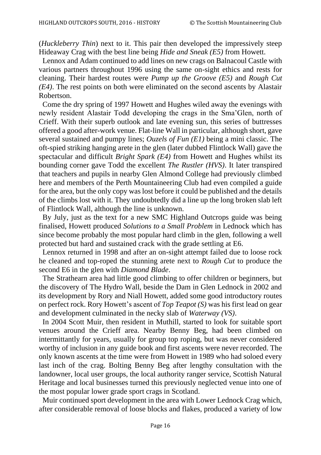(*Huckleberry Thin*) next to it. This pair then developed the impressively steep Hideaway Crag with the best line being *Hide and Sneak (E5)* from Howett.

 Lennox and Adam continued to add lines on new crags on Balnacoul Castle with various partners throughout 1996 using the same on-sight ethics and rests for cleaning. Their hardest routes were *Pump up the Groove (E5)* and *Rough Cut (E4)*. The rest points on both were eliminated on the second ascents by Alastair Robertson.

 Come the dry spring of 1997 Howett and Hughes wiled away the evenings with newly resident Alastair Todd developing the crags in the Sma'Glen, north of Crieff. With their superb outlook and late evening sun, this series of buttresses offered a good after-work venue. Flat-line Wall in particular, although short, gave several sustained and pumpy lines; *Ouzels of Fun (E1)* being a mini classic. The oft-spied striking hanging arete in the glen (later dubbed Flintlock Wall) gave the spectacular and difficult *Bright Spark (E4)* from Howett and Hughes whilst its bounding corner gave Todd the excellent *The Rustler (HVS)*. It later transpired that teachers and pupils in nearby Glen Almond College had previously climbed here and members of the Perth Mountaineering Club had even compiled a guide for the area, but the only copy was lost before it could be published and the details of the climbs lost with it. They undoubtedly did a line up the long broken slab left of Flintlock Wall, although the line is unknown.

 By July, just as the text for a new SMC Highland Outcrops guide was being finalised, Howett produced *Solutions to a Small Problem* in Lednock which has since become probably the most popular hard climb in the glen, following a well protected but hard and sustained crack with the grade settling at E6.

 Lennox returned in 1998 and after an on-sight attempt failed due to loose rock he cleaned and top-roped the stunning arete next to *Rough Cut* to produce the second E6 in the glen with *Diamond Blade*.

 The Strathearn area had little good climbing to offer children or beginners, but the discovery of The Hydro Wall, beside the Dam in Glen Lednock in 2002 and its development by Rory and Niall Howett, added some good introductory routes on perfect rock. Rory Howett's ascent of *Top Teapot (S)* was his first lead on gear and development culminated in the necky slab of *Waterway (VS)*.

 In 2004 Scott Muir, then resident in Muthill, started to look for suitable sport venues around the Crieff area. Nearby Benny Beg, had been climbed on intermittantly for years, usually for group top roping, but was never considered worthy of inclusion in any guide book and first ascents were never recorded. The only known ascents at the time were from Howett in 1989 who had soloed every last inch of the crag. Bolting Benny Beg after lengthy consultation with the landowner, local user groups, the local authority ranger service, Scottish Natural Heritage and local businesses turned this previously neglected venue into one of the most popular lower grade sport crags in Scotland.

 Muir continued sport development in the area with Lower Lednock Crag which, after considerable removal of loose blocks and flakes, produced a variety of low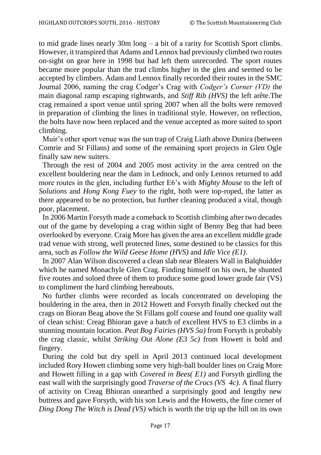to mid grade lines nearly 30m long – a bit of a rarity for Scottish Sport climbs. However, it transpired that Adams and Lennox had previously climbed two routes on-sight on gear here in 1998 but had left them unrecorded. The sport routes became more popular than the trad climbs higher in the glen and seemed to be accepted by climbers. Adam and Lennox finally recorded their routes in the SMC Journal 2006, naming the crag Codger's Crag with *Codger's Corner (VD)* the main diagonal ramp escaping rightwards, and *Stiff Rib (HVS)* the left arête.The crag remained a sport venue until spring 2007 when all the bolts were removed in preparation of climbing the lines in traditional style. However, on reflection, the bolts have now been replaced and the venue accepted as more suited to sport climbing.

 Muir's other sport venue was the sun trap of Craig Liath above Dunira (between Comrie and St Fillans) and some of the remaining sport projects in Glen Ogle finally saw new suiters.

 Through the rest of 2004 and 2005 most activity in the area centred on the excellent bouldering near the dam in Lednock, and only Lennox returned to add more routes in the glen, including further E6's with *Mighty Mouse* to the left of *Solutions* and *Hong Kong Fuey* to the right, both were top-roped, the latter as there appeared to be no protection, but further cleaning produced a vital, though poor, placement.

 In 2006 Martin Forsyth made a comeback to Scottish climbing after two decades out of the game by developing a crag within sight of Benny Beg that had been overlooked by everyone. Craig More has given the area an excellent middle grade trad venue with strong, well protected lines, some destined to be classics for this area, such as *Follow the Wild Geese Home (HVS)* and *Idle Vice (E1)*.

 In 2007 Alan Wilson discovered a clean slab near Bleaters Wall in Balqhuidder which he named Monachyle Glen Crag. Finding himself on his own, he shunted five routes and soloed three of them to produce some good lower grade fair (VS) to compliment the hard climbing hereabouts.

 No further climbs were recorded as locals concentrated on developing the bouldering in the area, then in 2012 Howett and Forsyth finally checked out the crags on Bioran Beag above the St Fillans golf course and found one quality wall of clean schist: Creag Bhioran gave a batch of excellent HVS to E3 climbs in a stunning mountain location. *Peat Bog Fairies (HVS 5a)* from Forsyth is probably the crag classic, whilst *Striking Out Alone (E3 5c)* from Howett is bold and fingery.

 During the cold but dry spell in April 2013 continued local development included Rory Howett climbing some very high-ball boulder lines on Craig More and Howett filling in a gap with *Covered in Bees( E1)* and Forsyth girdling the east wall with the surprisingly good *Traverse of the Crocs (VS 4c)*. A final flurry of activity on Creag Bhioran unearthed a surprisingly good and lengthy new buttress and gave Forsyth, with his son Lewis and the Howetts, the fine corner of *Ding Dong The Witch is Dead (VS)* which is worth the trip up the hill on its own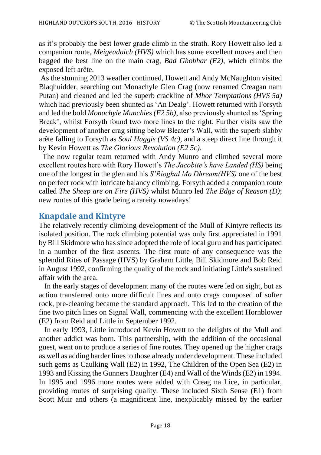as it's probably the best lower grade climb in the strath. Rory Howett also led a companion route, *Meigeadaich (HVS)* which has some excellent moves and then bagged the best line on the main crag, *Bad Ghobhar (E2)*, which climbs the exposed left arête.

As the stunning 2013 weather continued, Howett and Andy McNaughton visited Blaqhuidder, searching out Monachyle Glen Crag (now renamed Creagan nam Putan) and cleaned and led the superb crackline of *Mhor Temptations (HVS 5a)*  which had previously been shunted as 'An Dealg'. Howett returned with Forsyth and led the bold *Monachyle Munchies (E2 5b)*, also previously shunted as 'Spring Break', whilst Forsyth found two more lines to the right. Further visits saw the development of another crag sitting below Bleater's Wall, with the superb slabby arête falling to Forsyth as *Soul Haggis (VS 4c)*, and a steep direct line through it by Kevin Howett as *The Glorious Revolution (E2 5c)*.

 The now regular team returned with Andy Munro and climbed several more excellent routes here with Rory Howett's *The Jacobite's have Landed (HS)* being one of the longest in the glen and his *S'Rioghal Mo Dhream(HVS)* one of the best on perfect rock with intricate balancy climbing. Forsyth added a companion route called *The Sheep are on Fire (HVS)* whilst Munro led *The Edge of Reason (D)*; new routes of this grade being a rareity nowadays!

## **Knapdale and Kintyre**

The relatively recently climbing development of the Mull of Kintyre reflects its isolated position. The rock climbing potential was only first appreciated in 1991 by Bill Skidmore who has since adopted the role of local guru and has participated in a number of the first ascents. The first route of any consequence was the splendid Rites of Passage (HVS) by Graham Little, Bill Skidmore and Bob Reid in August 1992, confirming the quality of the rock and initiating Little's sustained affair with the area.

 In the early stages of development many of the routes were led on sight, but as action transferred onto more difficult lines and onto crags composed of softer rock, pre-cleaning became the standard approach. This led to the creation of the fine two pitch lines on Signal Wall, commencing with the excellent Hornblower (E2) from Reid and Little in September 1992.

 In early 1993, Little introduced Kevin Howett to the delights of the Mull and another addict was born. This partnership, with the addition of the occasional guest, went on to produce a series of fine routes. They opened up the higher crags as well as adding harder lines to those already under development. These included such gems as Caulking Wall (E2) in 1992, The Children of the Open Sea (E2) in 1993 and Kissing the Gunners Daughter (E4) and Wall of the Winds (E2) in 1994. In 1995 and 1996 more routes were added with Creag na Lice, in particular, providing routes of surprising quality. These included Sixth Sense (E1) from Scott Muir and others (a magnificent line, inexplicably missed by the earlier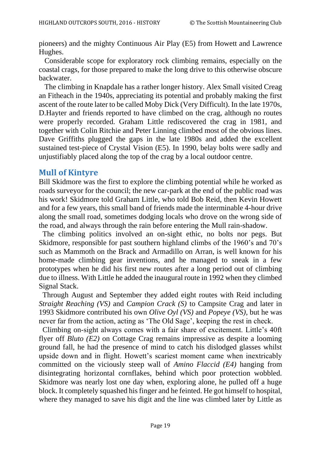pioneers) and the mighty Continuous Air Play (E5) from Howett and Lawrence Hughes.

 Considerable scope for exploratory rock climbing remains, especially on the coastal crags, for those prepared to make the long drive to this otherwise obscure backwater.

 The climbing in Knapdale has a rather longer history. Alex Small visited Creag an Fitheach in the 1940s, appreciating its potential and probably making the first ascent of the route later to be called Moby Dick (Very Difficult). In the late 1970s, D.Hayter and friends reported to have climbed on the crag, although no routes were properly recorded. Graham Little rediscovered the crag in 1981, and together with Colin Ritchie and Peter Linning climbed most of the obvious lines. Dave Griffiths plugged the gaps in the late 1980s and added the excellent sustained test-piece of Crystal Vision (E5). In 1990, belay bolts were sadly and unjustifiably placed along the top of the crag by a local outdoor centre.

#### **Mull of Kintyre**

Bill Skidmore was the first to explore the climbing potential while he worked as roads surveyor for the council; the new car-park at the end of the public road was his work! Skidmore told Graham Little, who told Bob Reid, then Kevin Howett and for a few years, this small band of friends made the interminable 4-hour drive along the small road, sometimes dodging locals who drove on the wrong side of the road, and always through the rain before entering the Mull rain-shadow.

 The climbing politics involved an on-sight ethic, no bolts nor pegs. But Skidmore, responsible for past southern highland climbs of the 1960's and 70's such as Mammoth on the Brack and Armadillo on Arran, is well known for his home-made climbing gear inventions, and he managed to sneak in a few prototypes when he did his first new routes after a long period out of climbing due to illness. With Little he added the inaugural route in 1992 when they climbed Signal Stack.

 Through August and September they added eight routes with Reid including *Straight Reaching (VS)* and *Campion Crack (S)* to Campsite Crag and later in 1993 Skidmore contributed his own *Olive Oyl (VS)* and *Popeye (VS)*, but he was never far from the action, acting as 'The Old Sage', keeping the rest in check.

 Climbing on-sight always comes with a fair share of excitement. Little's 40ft flyer off *Bluto (E2)* on Cottage Crag remains impressive as despite a looming ground fall, he had the presence of mind to catch his dislodged glasses whilst upside down and in flight. Howett's scariest moment came when inextricably committed on the viciously steep wall of *Amino Flaccid (E4)* hanging from disintegrating horizontal cornflakes, behind which poor protection wobbled. Skidmore was nearly lost one day when, exploring alone, he pulled off a huge block. It completely squashed his finger and he feinted. He got himself to hospital, where they managed to save his digit and the line was climbed later by Little as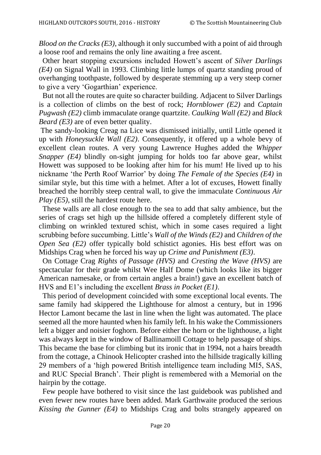*Blood on the Cracks (E3)*, although it only succumbed with a point of aid through a loose roof and remains the only line awaiting a free ascent.

 Other heart stopping excursions included Howett's ascent of *Silver Darlings (E4)* on Signal Wall in 1993. Climbing little lumps of quartz standing proud of overhanging toothpaste, followed by desperate stemming up a very steep corner to give a very 'Gogarthian' experience.

 But not all the routes are quite so character building. Adjacent to Silver Darlings is a collection of climbs on the best of rock; *Hornblower (E2)* and *Captain Pugwash (E2)* climb immaculate orange quartzite. *Caulking Wall (E2)* and *Black Beard (E3)* are of even better quality.

The sandy-looking Creag na Lice was dismissed initially, until Little opened it up with *Honeysuckle Wall (E2)*. Consequently, it offered up a whole bevy of excellent clean routes. A very young Lawrence Hughes added the *Whipper Snapper (E4)* blindly on-sight jumping for holds too far above gear, whilst Howett was supposed to be looking after him for his mum! He lived up to his nickname 'the Perth Roof Warrior' by doing *The Female of the Species (E4)* in similar style, but this time with a helmet. After a lot of excuses, Howett finally breached the horribly steep central wall, to give the immaculate *Continuous Air Play (E5)*, still the hardest route here.

 These walls are all close enough to the sea to add that salty ambience, but the series of crags set high up the hillside offered a completely different style of climbing on wrinkled textured schist, which in some cases required a light scrubbing before succumbing. Little's *Wall of the Winds (E2)* and *Children of the Open Sea (E2)* offer typically bold schistict agonies. His best effort was on Midships Crag when he forced his way up *Crime and Punishment (E3)*.

 On Cottage Crag *Rights of Passage (HVS)* and *Cresting the Wave (HVS)* are spectacular for their grade whilst Wee Half Dome (which looks like its bigger American namesake, or from certain angles a brain!) gave an excellent batch of HVS and E1's including the excellent *Brass in Pocket (E1)*.

 This period of development coincided with some exceptional local events. The same family had skippered the Lighthouse for almost a century, but in 1996 Hector Lamont became the last in line when the light was automated. The place seemed all the more haunted when his family left. In his wake the Commissioners left a bigger and noisier foghorn. Before either the horn or the lighthouse, a light was always kept in the window of Ballinamoill Cottage to help passage of ships. This became the base for climbing but its ironic that in 1994, not a hairs breadth from the cottage, a Chinook Helicopter crashed into the hillside tragically killing 29 members of a 'high powered British intelligence team including MI5, SAS, and RUC Special Branch'. Their plight is remembered with a Memorial on the hairpin by the cottage.

 Few people have bothered to visit since the last guidebook was published and even fewer new routes have been added. Mark Garthwaite produced the serious *Kissing the Gunner (E4)* to Midships Crag and bolts strangely appeared on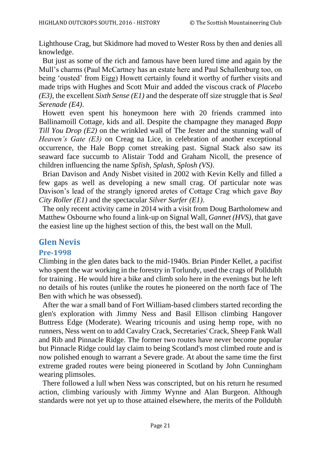Lighthouse Crag, but Skidmore had moved to Wester Ross by then and denies all knowledge.

 But just as some of the rich and famous have been lured time and again by the Mull's charms (Paul McCartney has an estate here and Paul Schallenburg too, on being 'ousted' from Eigg) Howett certainly found it worthy of further visits and made trips with Hughes and Scott Muir and added the viscous crack of *Placebo (E3)*, the excellent *Sixth Sense (E1)* and the desperate off size struggle that is *Seal Serenade (E4)*.

 Howett even spent his honeymoon here with 20 friends crammed into Ballinamoill Cottage, kids and all. Despite the champagne they managed *Bopp Till You Drop (E2)* on the wrinkled wall of The Jester and the stunning wall of *Heaven's Gate (E3)* on Creag na Lice, in celebration of another exceptional occurrence, the Hale Bopp comet streaking past. Signal Stack also saw its seaward face succumb to Alistair Todd and Graham Nicoll, the presence of children influencing the name *Splish, Splash, Splosh (VS)*.

 Brian Davison and Andy Nisbet visited in 2002 with Kevin Kelly and filled a few gaps as well as developing a new small crag. Of particular note was Davison's lead of the strangly ignored aretes of Cottage Crag which gave *Bay City Roller (E1)* and the spectacular *Silver Surfer (E1)*.

 The only recent activity came in 2014 with a visit from Doug Bartholomew and Matthew Osbourne who found a link-up on Signal Wall, *Gannet (HVS)*, that gave the easiest line up the highest section of this, the best wall on the Mull.

## **Glen Nevis**

#### **Pre-1998**

Climbing in the glen dates back to the mid-1940s. Brian Pinder Kellet, a pacifist who spent the war working in the forestry in Torlundy, used the crags of Polldubh for training . He would hire a bike and climb solo here in the evenings but he left no details of his routes (unlike the routes he pioneered on the north face of The Ben with which he was obsessed).

 After the war a small band of Fort William-based climbers started recording the glen's exploration with Jimmy Ness and Basil Ellison climbing Hangover Buttress Edge (Moderate). Wearing tricounis and using hemp rope, with no runners, Ness went on to add Cavalry Crack, Secretaries' Crack, Sheep Fank Wall and Rib and Pinnacle Ridge. The former two routes have never become popular but Pinnacle Ridge could lay claim to being Scotland's most climbed route and is now polished enough to warrant a Severe grade. At about the same time the first extreme graded routes were being pioneered in Scotland by John Cunningham wearing plimsoles.

 There followed a lull when Ness was conscripted, but on his return he resumed action, climbing variously with Jimmy Wynne and Alan Burgeon. Although standards were not yet up to those attained elsewhere, the merits of the Polldubh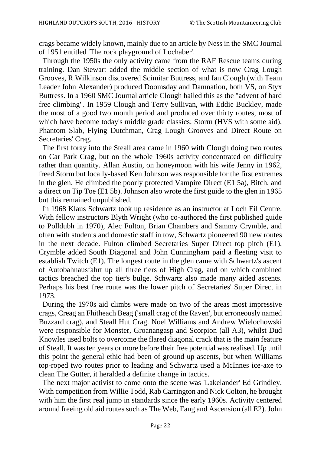crags became widely known, mainly due to an article by Ness in the SMC Journal of 1951 entitled 'The rock playground of Lochaber'.

 Through the 1950s the only activity came from the RAF Rescue teams during training. Dan Stewart added the middle section of what is now Crag Lough Grooves, R.Wilkinson discovered Scimitar Buttress, and Ian Clough (with Team Leader John Alexander) produced Doomsday and Damnation, both VS, on Styx Buttress. In a 1960 SMC Journal article Clough hailed this as the "advent of hard free climbing". In 1959 Clough and Terry Sullivan, with Eddie Buckley, made the most of a good two month period and produced over thirty routes, most of which have become today's middle grade classics; Storm (HVS with some aid), Phantom Slab, Flying Dutchman, Crag Lough Grooves and Direct Route on Secretaries' Crag.

 The first foray into the Steall area came in 1960 with Clough doing two routes on Car Park Crag, but on the whole 1960s activity concentrated on difficulty rather than quantity. Allan Austin, on honeymoon with his wife Jenny in 1962, freed Storm but locally-based Ken Johnson was responsible for the first extremes in the glen. He climbed the poorly protected Vampire Direct (E1 5a), Bitch, and a direct on Tip Toe (E1 5b). Johnson also wrote the first guide to the glen in 1965 but this remained unpublished.

 In 1968 Klaus Schwartz took up residence as an instructor at Loch Eil Centre. With fellow instructors Blyth Wright (who co-authored the first published guide to Polldubh in 1970), Alec Fulton, Brian Chambers and Sammy Crymble, and often with students and domestic staff in tow, Schwartz pioneered 90 new routes in the next decade. Fulton climbed Secretaries Super Direct top pitch (E1), Crymble added South Diagonal and John Cunningham paid a fleeting visit to establish Twitch (E1). The longest route in the glen came with Schwartz's ascent of Autobahnausfahrt up all three tiers of High Crag, and on which combined tactics breached the top tier's bulge. Schwartz also made many aided ascents. Perhaps his best free route was the lower pitch of Secretaries' Super Direct in 1973.

 During the 1970s aid climbs were made on two of the areas most impressive crags, Creag an Fhitheach Beag ('small crag of the Raven', but erroneously named Buzzard crag), and Steall Hut Crag. Noel Williams and Andrew Wielochowski were responsible for Monster, Groanangasp and Scorpion (all A3), whilst Dud Knowles used bolts to overcome the flared diagonal crack that is the main feature of Steall. It was ten years or more before their free potential was realised. Up until this point the general ethic had been of ground up ascents, but when Williams top-roped two routes prior to leading and Schwartz used a McInnes ice-axe to clean The Gutter, it heralded a definite change in tactics.

 The next major activist to come onto the scene was 'Lakelander' Ed Grindley. With competition from Willie Todd, Rab Carrington and Nick Colton, he brought with him the first real jump in standards since the early 1960s. Activity centered around freeing old aid routes such as The Web, Fang and Ascension (all E2). John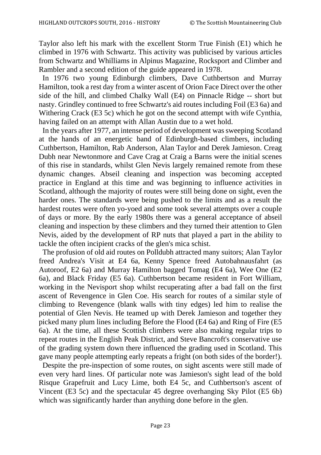Taylor also left his mark with the excellent Storm True Finish (E1) which he climbed in 1976 with Schwartz. This activity was publicised by various articles from Schwartz and Whilliams in Alpinus Magazine, Rocksport and Climber and Rambler and a second edition of the guide appeared in 1978.

 In 1976 two young Edinburgh climbers, Dave Cuthbertson and Murray Hamilton, took a rest day from a winter ascent of Orion Face Direct over the other side of the hill, and climbed Chalky Wall (E4) on Pinnacle Ridge -- short but nasty. Grindley continued to free Schwartz's aid routes including Foil (E3 6a) and Withering Crack (E3 5c) which he got on the second attempt with wife Cynthia, having failed on an attempt with Allan Austin due to a wet hold.

 In the years after 1977, an intense period of development was sweeping Scotland at the hands of an energetic band of Edinburgh-based climbers, including Cuthbertson, Hamilton, Rab Anderson, Alan Taylor and Derek Jamieson. Creag Dubh near Newtonmore and Cave Crag at Craig a Barns were the initial scenes of this rise in standards, whilst Glen Nevis largely remained remote from these dynamic changes. Abseil cleaning and inspection was becoming accepted practice in England at this time and was beginning to influence activities in Scotland, although the majority of routes were still being done on sight, even the harder ones. The standards were being pushed to the limits and as a result the hardest routes were often yo-yoed and some took several attempts over a couple of days or more. By the early 1980s there was a general acceptance of abseil cleaning and inspection by these climbers and they turned their attention to Glen Nevis, aided by the development of RP nuts that played a part in the ability to tackle the often incipient cracks of the glen's mica schist.

 The profusion of old aid routes on Polldubh attracted many suitors; Alan Taylor freed Andrea's Visit at E4 6a, Kenny Spence freed Autobahnausfahrt (as Autoroof, E2 6a) and Murray Hamilton bagged Tomag (E4 6a), Wee One (E2 6a), and Black Friday (E5 6a). Cuthbertson became resident in Fort William, working in the Nevisport shop whilst recuperating after a bad fall on the first ascent of Revengence in Glen Coe. His search for routes of a similar style of climbing to Revengence (blank walls with tiny edges) led him to realise the potential of Glen Nevis. He teamed up with Derek Jamieson and together they picked many plum lines including Before the Flood (E4 6a) and Ring of Fire (E5 6a). At the time, all these Scottish climbers were also making regular trips to repeat routes in the English Peak District, and Steve Bancroft's conservative use of the grading system down there influenced the grading used in Scotland. This gave many people attempting early repeats a fright (on both sides of the border!).

 Despite the pre-inspection of some routes, on sight ascents were still made of even very hard lines. Of particular note was Jamieson's sight lead of the bold Risque Grapefruit and Lucy Lime, both E4 5c, and Cuthbertson's ascent of Vincent (E3 5c) and the spectacular 45 degree overhanging Sky Pilot (E5 6b) which was significantly harder than anything done before in the glen.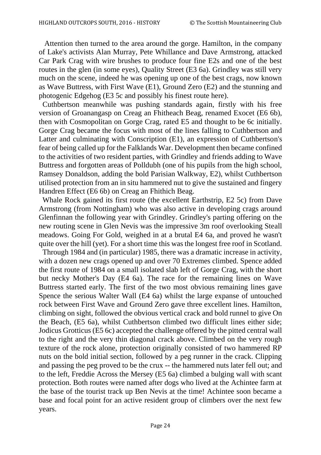Attention then turned to the area around the gorge. Hamilton, in the company of Lake's activists Alan Murray, Pete Whillance and Dave Armstrong, attacked Car Park Crag with wire brushes to produce four fine E2s and one of the best routes in the glen (in some eyes), Quality Street (E3 6a). Grindley was still very much on the scene, indeed he was opening up one of the best crags, now known as Wave Buttress, with First Wave (E1), Ground Zero (E2) and the stunning and photogenic Edgehog (E3 5c and possibly his finest route here).

 Cuthbertson meanwhile was pushing standards again, firstly with his free version of Groanangasp on Creag an Fhitheach Beag, renamed Exocet (E6 6b), then with Cosmopolitan on Gorge Crag, rated E5 and thought to be 6c initially. Gorge Crag became the focus with most of the lines falling to Cuthbertson and Latter and culminating with Conscription (E1), an expression of Cuthbertson's fear of being called up for the Falklands War. Development then became confined to the activities of two resident parties, with Grindley and friends adding to Wave Buttress and forgotten areas of Polldubh (one of his pupils from the high school, Ramsey Donaldson, adding the bold Parisian Walkway, E2), whilst Cuthbertson utilised protection from an in situ hammered nut to give the sustained and fingery Handren Effect (E6 6b) on Creag an Fhithich Beag.

 Whale Rock gained its first route (the excellent Earthstrip, E2 5c) from Dave Armstrong (from Nottingham) who was also active in developing crags around Glenfinnan the following year with Grindley. Grindley's parting offering on the new routing scene in Glen Nevis was the impressive 3m roof overlooking Steall meadows. Going For Gold, weighed in at a brutal E4 6a, and proved he wasn't quite over the hill (yet). For a short time this was the longest free roof in Scotland.

 Through 1984 and (in particular) 1985, there was a dramatic increase in activity, with a dozen new crags opened up and over 70 Extremes climbed. Spence added the first route of 1984 on a small isolated slab left of Gorge Crag, with the short but necky Mother's Day (E4 6a). The race for the remaining lines on Wave Buttress started early. The first of the two most obvious remaining lines gave Spence the serious Walter Wall (E4 6a) whilst the large expanse of untouched rock between First Wave and Ground Zero gave three excellent lines. Hamilton, climbing on sight, followed the obvious vertical crack and bold runnel to give On the Beach, (E5 6a), whilst Cuthbertson climbed two difficult lines either side; Jodicus Grotticus (E5 6c) accepted the challenge offered by the pitted central wall to the right and the very thin diagonal crack above. Climbed on the very rough texture of the rock alone, protection originally consisted of two hammered RP nuts on the bold initial section, followed by a peg runner in the crack. Clipping and passing the peg proved to be the crux -- the hammered nuts later fell out; and to the left, Freddie Across the Mersey (E5 6a) climbed a bulging wall with scant protection. Both routes were named after dogs who lived at the Achintee farm at the base of the tourist track up Ben Nevis at the time! Achintee soon became a base and focal point for an active resident group of climbers over the next few years.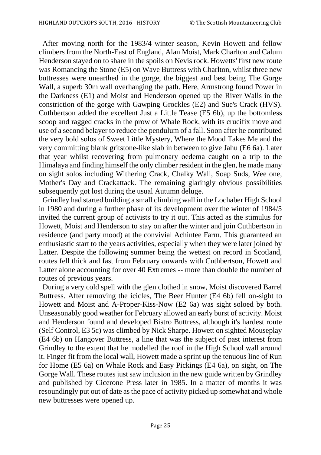After moving north for the 1983/4 winter season, Kevin Howett and fellow climbers from the North-East of England, Alan Moist, Mark Charlton and Calum Henderson stayed on to share in the spoils on Nevis rock. Howetts' first new route was Romancing the Stone (E5) on Wave Buttress with Charlton, whilst three new buttresses were unearthed in the gorge, the biggest and best being The Gorge Wall, a superb 30m wall overhanging the path. Here, Armstrong found Power in the Darkness (E1) and Moist and Henderson opened up the River Walls in the constriction of the gorge with Gawping Grockles (E2) and Sue's Crack (HVS). Cuthbertson added the excellent Just a Little Tease (E5 6b), up the bottomless scoop and ragged cracks in the prow of Whale Rock, with its crucifix move and use of a second belayer to reduce the pendulum of a fall. Soon after he contributed the very bold solos of Sweet Little Mystery, Where the Mood Takes Me and the very committing blank gritstone-like slab in between to give Jahu (E6 6a). Later that year whilst recovering from pulmonary oedema caught on a trip to the Himalaya and finding himself the only climber resident in the glen, he made many on sight solos including Withering Crack, Chalky Wall, Soap Suds, Wee one, Mother's Day and Crackattack. The remaining glaringly obvious possibilities subsequently got lost during the usual Autumn deluge.

 Grindley had started building a small climbing wall in the Lochaber High School in 1980 and during a further phase of its development over the winter of 1984/5 invited the current group of activists to try it out. This acted as the stimulus for Howett, Moist and Henderson to stay on after the winter and join Cuthbertson in residence (and party mood) at the convivial Achintee Farm. This guaranteed an enthusiastic start to the years activities, especially when they were later joined by Latter. Despite the following summer being the wettest on record in Scotland, routes fell thick and fast from February onwards with Cuthbertson, Howett and Latter alone accounting for over 40 Extremes -- more than double the number of routes of previous years.

 During a very cold spell with the glen clothed in snow, Moist discovered Barrel Buttress. After removing the icicles, The Beer Hunter (E4 6b) fell on-sight to Howett and Moist and A-Proper-Kiss-Now (E2 6a) was sight soloed by both. Unseasonably good weather for February allowed an early burst of activity. Moist and Henderson found and developed Bistro Buttress, although it's hardest route (Self Control, E3 5c) was climbed by Nick Sharpe. Howett on sighted Mouseplay (E4 6b) on Hangover Buttress, a line that was the subject of past interest from Grindley to the extent that he modelled the roof in the High School wall around it. Finger fit from the local wall, Howett made a sprint up the tenuous line of Run for Home (E5 6a) on Whale Rock and Easy Pickings (E4 6a), on sight, on The Gorge Wall. These routes just saw inclusion in the new guide written by Grindley and published by Cicerone Press later in 1985. In a matter of months it was resoundingly put out of date as the pace of activity picked up somewhat and whole new buttresses were opened up.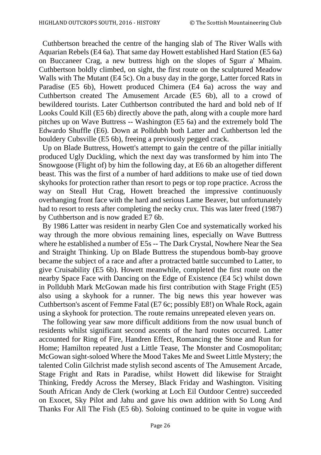Cuthbertson breached the centre of the hanging slab of The River Walls with Aquarian Rebels (E4 6a). That same day Howett established Hard Station (E5 6a) on Buccaneer Crag, a new buttress high on the slopes of Sgurr a' Mhaim. Cuthbertson boldly climbed, on sight, the first route on the sculptured Meadow Walls with The Mutant (E4 5c). On a busy day in the gorge, Latter forced Rats in Paradise (E5 6b), Howett produced Chimera (E4 6a) across the way and Cuthbertson created The Amusement Arcade (E5 6b), all to a crowd of bewildered tourists. Later Cuthbertson contributed the hard and bold neb of If Looks Could Kill (E5 6b) directly above the path, along with a couple more hard pitches up on Wave Buttress -- Washington (E5 6a) and the extremely bold The Edwardo Shuffle (E6). Down at Polldubh both Latter and Cuthbertson led the bouldery Cubsville (E5 6b), freeing a previously pegged crack.

 Up on Blade Buttress, Howett's attempt to gain the centre of the pillar initially produced Ugly Duckling, which the next day was transformed by him into The Snowgoose (Flight of) by him the following day, at E6 6b an altogether different beast. This was the first of a number of hard additions to make use of tied down skyhooks for protection rather than resort to pegs or top rope practice. Across the way on Steall Hut Crag, Howett breached the impressive continuously overhanging front face with the hard and serious Lame Beaver, but unfortunately had to resort to rests after completing the necky crux. This was later freed (1987) by Cuthbertson and is now graded E7 6b.

 By 1986 Latter was resident in nearby Glen Coe and systematically worked his way through the more obvious remaining lines, especially on Wave Buttress where he established a number of E5s -- The Dark Crystal, Nowhere Near the Sea and Straight Thinking. Up on Blade Buttress the stupendous bomb-bay groove became the subject of a race and after a protracted battle succumbed to Latter, to give Cruisability (E5 6b). Howett meanwhile, completed the first route on the nearby Space Face with Dancing on the Edge of Existence (E4 5c) whilst down in Polldubh Mark McGowan made his first contribution with Stage Fright (E5) also using a skyhook for a runner. The big news this year however was Cuthbertson's ascent of Femme Fatal (E7 6c; possibly E8!) on Whale Rock, again using a skyhook for protection. The route remains unrepeated eleven years on.

 The following year saw more difficult additions from the now usual bunch of residents whilst significant second ascents of the hard routes occurred. Latter accounted for Ring of Fire, Handren Effect, Romancing the Stone and Run for Home; Hamilton repeated Just a Little Tease, The Monster and Cosmopolitan; McGowan sight-soloed Where the Mood Takes Me and Sweet Little Mystery; the talented Colin Gilchrist made stylish second ascents of The Amusement Arcade, Stage Fright and Rats in Paradise, whilst Howett did likewise for Straight Thinking, Freddy Across the Mersey, Black Friday and Washington. Visiting South African Andy de Clerk (working at Loch Eil Outdoor Centre) succeeded on Exocet, Sky Pilot and Jahu and gave his own addition with So Long And Thanks For All The Fish (E5 6b). Soloing continued to be quite in vogue with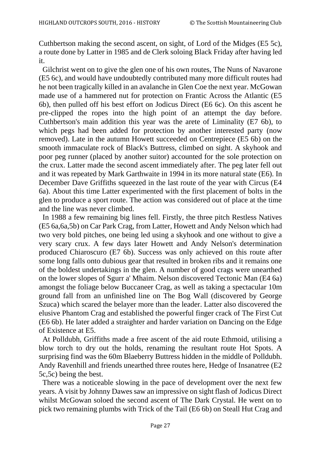Cuthbertson making the second ascent, on sight, of Lord of the Midges (E5 5c), a route done by Latter in 1985 and de Clerk soloing Black Friday after having led it.

 Gilchrist went on to give the glen one of his own routes, The Nuns of Navarone (E5 6c), and would have undoubtedly contributed many more difficult routes had he not been tragically killed in an avalanche in Glen Coe the next year. McGowan made use of a hammered nut for protection on Frantic Across the Atlantic (E5 6b), then pulled off his best effort on Jodicus Direct (E6 6c). On this ascent he pre-clipped the ropes into the high point of an attempt the day before. Cuthbertson's main addition this year was the arete of Liminality (E7 6b), to which pegs had been added for protection by another interested party (now removed). Late in the autumn Howett succeeded on Centrepiece (E5 6b) on the smooth immaculate rock of Black's Buttress, climbed on sight. A skyhook and poor peg runner (placed by another suitor) accounted for the sole protection on the crux. Latter made the second ascent immediately after. The peg later fell out and it was repeated by Mark Garthwaite in 1994 in its more natural state (E6). In December Dave Griffiths squeezed in the last route of the year with Circus (E4 6a). About this time Latter experimented with the first placement of bolts in the glen to produce a sport route. The action was considered out of place at the time and the line was never climbed.

 In 1988 a few remaining big lines fell. Firstly, the three pitch Restless Natives (E5 6a,6a,5b) on Car Park Crag, from Latter, Howett and Andy Nelson which had two very bold pitches, one being led using a skyhook and one without to give a very scary crux. A few days later Howett and Andy Nelson's determination produced Chiaroscuro (E7 6b). Success was only achieved on this route after some long falls onto dubious gear that resulted in broken ribs and it remains one of the boldest undertakings in the glen. A number of good crags were unearthed on the lower slopes of Sgurr a' Mhaim. Nelson discovered Tectonic Man (E4 6a) amongst the foliage below Buccaneer Crag, as well as taking a spectacular 10m ground fall from an unfinished line on The Bog Wall (discovered by George Szuca) which scared the belayer more than the leader. Latter also discovered the elusive Phantom Crag and established the powerful finger crack of The First Cut (E6 6b). He later added a straighter and harder variation on Dancing on the Edge of Existence at E5.

 At Polldubh, Griffiths made a free ascent of the aid route Ethmoid, utilising a blow torch to dry out the holds, renaming the resultant route Hot Spots. A surprising find was the 60m Blaeberry Buttress hidden in the middle of Polldubh. Andy Ravenhill and friends unearthed three routes here, Hedge of Insanatree (E2 5c,5c) being the best.

 There was a noticeable slowing in the pace of development over the next few years. A visit by Johnny Dawes saw an impressive on sight flash of Jodicus Direct whilst McGowan soloed the second ascent of The Dark Crystal. He went on to pick two remaining plumbs with Trick of the Tail (E6 6b) on Steall Hut Crag and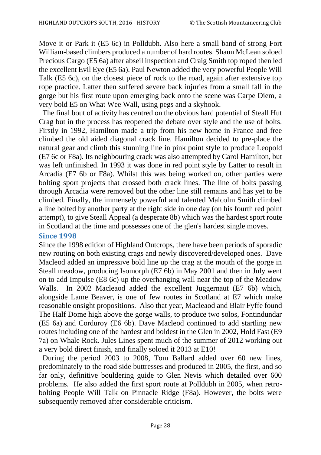Move it or Park it (E5 6c) in Polldubh. Also here a small band of strong Fort William-based climbers produced a number of hard routes. Shaun McLean soloed Precious Cargo (E5 6a) after abseil inspection and Craig Smith top roped then led the excellent Evil Eye (E5 6a). Paul Newton added the very powerful People Will Talk (E5 6c), on the closest piece of rock to the road, again after extensive top rope practice. Latter then suffered severe back injuries from a small fall in the gorge but his first route upon emerging back onto the scene was Carpe Diem, a very bold E5 on What Wee Wall, using pegs and a skyhook.

 The final bout of activity has centred on the obvious hard potential of Steall Hut Crag but in the process has reopened the debate over style and the use of bolts. Firstly in 1992, Hamilton made a trip from his new home in France and free climbed the old aided diagonal crack line. Hamilton decided to pre-place the natural gear and climb this stunning line in pink point style to produce Leopold (E7 6c or F8a). Its neighbouring crack was also attempted by Carol Hamilton, but was left unfinished. In 1993 it was done in red point style by Latter to result in Arcadia (E7 6b or F8a). Whilst this was being worked on, other parties were bolting sport projects that crossed both crack lines. The line of bolts passing through Arcadia were removed but the other line still remains and has yet to be climbed. Finally, the immensely powerful and talented Malcolm Smith climbed a line bolted by another party at the right side in one day (on his fourth red point attempt), to give Steall Appeal (a desperate 8b) which was the hardest sport route in Scotland at the time and possesses one of the glen's hardest single moves.

#### **Since 1998**

Since the 1998 edition of Highland Outcrops, there have been periods of sporadic new routing on both existing crags and newly discovered/developed ones. Dave Macleod added an impressive bold line up the crag at the mouth of the gorge in Steall meadow, producing Isomorph (E7 6b) in May 2001 and then in July went on to add Impulse (E8 6c) up the overhanging wall near the top of the Meadow Walls. In 2002 Macleaod added the excellent Juggernaut (E7 6b) which, alongside Lame Beaver, is one of few routes in Scotland at E7 which make reasonable onsight propositions. Also that year, Macleaod and Blair Fyffe found The Half Dome high above the gorge walls, to produce two solos, Fontindundar (E5 6a) and Corduroy (E6 6b). Dave Macleod continued to add startling new routes including one of the hardest and boldest in the Glen in 2002, Hold Fast (E9 7a) on Whale Rock. Jules Lines spent much of the summer of 2012 working out a very bold direct finish, and finally soloed it 2013 at E10!

 During the period 2003 to 2008, Tom Ballard added over 60 new lines, predominately to the road side buttresses and produced in 2005, the first, and so far only, definitive bouldering guide to Glen Nevis which detailed over 600 problems. He also added the first sport route at Polldubh in 2005, when retrobolting People Will Talk on Pinnacle Ridge (F8a). However, the bolts were subsequently removed after considerable criticism.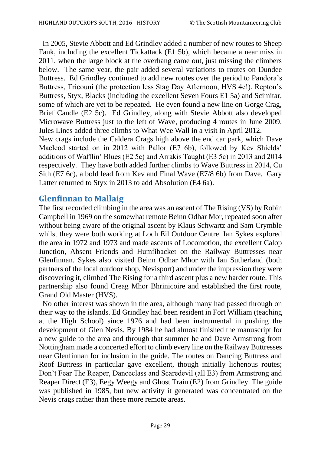In 2005, Stevie Abbott and Ed Grindley added a number of new routes to Sheep Fank, including the excellent Tickattack (E1 5b), which became a near miss in 2011, when the large block at the overhang came out, just missing the climbers below. The same year, the pair added several variations to routes on Dundee Buttress. Ed Grindley continued to add new routes over the period to Pandora's Buttress, Tricouni (the protection less Stag Day Afternoon, HVS 4c!), Repton's Buttress, Styx, Blacks (including the excellent Seven Fours E1 5a) and Scimitar, some of which are yet to be repeated. He even found a new line on Gorge Crag, Brief Candle (E2 5c). Ed Grindley, along with Stevie Abbott also developed Microwave Buttress just to the left of Wave, producing 4 routes in June 2009. Jules Lines added three climbs to What Wee Wall in a visit in April 2012. New crags include the Caldera Crags high above the end car park, which Dave

Macleod started on in 2012 with Pallor (E7 6b), followed by Kev Shields' additions of Wafflin' Blues (E2 5c) and Arrakis Taught (E3 5c) in 2013 and 2014 respectively. They have both added further climbs to Wave Buttress in 2014, Cu Sith (E7 6c), a bold lead from Kev and Final Wave (E7/8 6b) from Dave. Gary Latter returned to Styx in 2013 to add Absolution (E4 6a).

## **Glenfinnan to Mallaig**

The first recorded climbing in the area was an ascent of The Rising (VS) by Robin Campbell in 1969 on the somewhat remote Beinn Odhar Mor, repeated soon after without being aware of the original ascent by Klaus Schwartz and Sam Crymble whilst they were both working at Loch Eil Outdoor Centre. Ian Sykes explored the area in 1972 and 1973 and made ascents of Locomotion, the excellent Calop Junction, Absent Friends and Humfibacket on the Railway Buttresses near Glenfinnan. Sykes also visited Beinn Odhar Mhor with Ian Sutherland (both partners of the local outdoor shop, Nevisport) and under the impression they were discovering it, climbed The Rising for a third ascent plus a new harder route. This partnership also found Creag Mhor Bhrinicoire and established the first route, Grand Old Master (HVS).

 No other interest was shown in the area, although many had passed through on their way to the islands. Ed Grindley had been resident in Fort William (teaching at the High School) since 1976 and had been instrumental in pushing the development of Glen Nevis. By 1984 he had almost finished the manuscript for a new guide to the area and through that summer he and Dave Armstrong from Nottingham made a concerted effort to climb every line on the Railway Buttresses near Glenfinnan for inclusion in the guide. The routes on Dancing Buttress and Roof Buttress in particular gave excellent, though initially lichenous routes; Don't Fear The Reaper, Danceclass and Scaredevil (all E3) from Armstrong and Reaper Direct (E3), Eegy Weegy and Ghost Train (E2) from Grindley. The guide was published in 1985, but new activity it generated was concentrated on the Nevis crags rather than these more remote areas.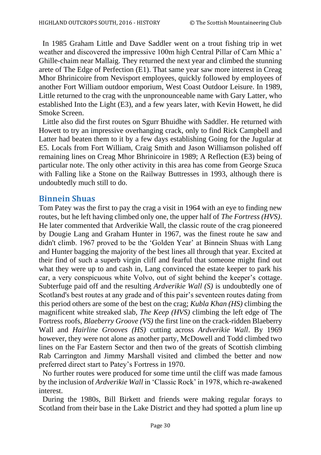In 1985 Graham Little and Dave Saddler went on a trout fishing trip in wet weather and discovered the impressive 100m high Central Pillar of Carn Mhic a' Ghille-chaim near Mallaig. They returned the next year and climbed the stunning arete of The Edge of Perfection (E1). That same year saw more interest in Creag Mhor Bhrinicoire from Nevisport employees, quickly followed by employees of another Fort William outdoor emporium, West Coast Outdoor Leisure. In 1989, Little returned to the crag with the unpronounceable name with Gary Latter, who established Into the Light (E3), and a few years later, with Kevin Howett, he did Smoke Screen.

 Little also did the first routes on Sgurr Bhuidhe with Saddler. He returned with Howett to try an impressive overhanging crack, only to find Rick Campbell and Latter had beaten them to it by a few days establishing Going for the Jugular at E5. Locals from Fort William, Craig Smith and Jason Williamson polished off remaining lines on Creag Mhor Bhrinicoire in 1989; A Reflection (E3) being of particular note. The only other activity in this area has come from George Szuca with Falling like a Stone on the Railway Buttresses in 1993, although there is undoubtedly much still to do.

## **Binnein Shuas**

Tom Patey was the first to pay the crag a visit in 1964 with an eye to finding new routes, but he left having climbed only one, the upper half of *The Fortress (HVS)*. He later commented that Ardverikie Wall, the classic route of the crag pioneered by Dougie Lang and Graham Hunter in 1967, was the finest route he saw and didn't climb. 1967 proved to be the 'Golden Year' at Binnein Shuas with Lang and Hunter bagging the majority of the best lines all through that year. Excited at their find of such a superb virgin cliff and fearful that someone might find out what they were up to and cash in, Lang convinced the estate keeper to park his car, a very conspicuous white Volvo, out of sight behind the keeper's cottage. Subterfuge paid off and the resulting *Ardverikie Wall (S)* is undoubtedly one of Scotland's best routes at any grade and of this pair's seventeen routes dating from this period others are some of the best on the crag; *Kubla Khan (HS)* climbing the magnificent white streaked slab, *The Keep (HVS)* climbing the left edge of The Fortress roofs, *Blaeberry Groove (VS)* the first line on the crack-ridden Blaeberry Wall and *Hairline Grooves (HS)* cutting across *Ardverikie Wall*. By 1969 however, they were not alone as another party, McDowell and Todd climbed two lines on the Far Eastern Sector and then two of the greats of Scottish climbing Rab Carrington and Jimmy Marshall visited and climbed the better and now preferred direct start to Patey's Fortress in 1970.

 No further routes were produced for some time until the cliff was made famous by the inclusion of *Ardverikie Wall* in 'Classic Rock' in 1978, which re-awakened interest.

 During the 1980s, Bill Birkett and friends were making regular forays to Scotland from their base in the Lake District and they had spotted a plum line up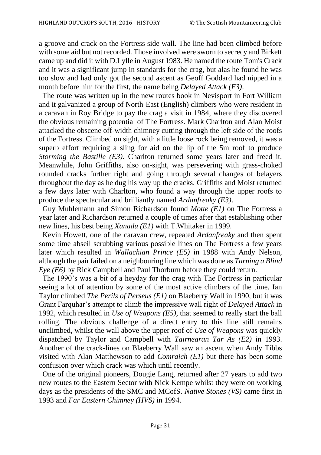a groove and crack on the Fortress side wall. The line had been climbed before with some aid but not recorded. Those involved were sworn to secrecy and Birkett came up and did it with D.Lylle in August 1983. He named the route Tom's Crack and it was a significant jump in standards for the crag, but alas he found he was too slow and had only got the second ascent as Geoff Goddard had nipped in a month before him for the first, the name being *Delayed Attack (E3)*.

 The route was written up in the new routes book in Nevisport in Fort William and it galvanized a group of North-East (English) climbers who were resident in a caravan in Roy Bridge to pay the crag a visit in 1984, where they discovered the obvious remaining potential of The Fortress. Mark Charlton and Alan Moist attacked the obscene off-width chimney cutting through the left side of the roofs of the Fortress. Climbed on sight, with a little loose rock being removed, it was a superb effort requiring a sling for aid on the lip of the 5m roof to produce *Storming the Bastille (E3)*. Charlton returned some years later and freed it. Meanwhile, John Griffiths, also on-sight, was persevering with grass-choked rounded cracks further right and going through several changes of belayers throughout the day as he dug his way up the cracks. Griffiths and Moist returned a few days later with Charlton, who found a way through the upper roofs to produce the spectacular and brilliantly named *Ardanfreaky (E3)*.

 Guy Muhlemann and Simon Richardson found *Motte (E1)* on The Fortress a year later and Richardson returned a couple of times after that establishing other new lines, his best being *Xanadu (E1)* with T.Whitaker in 1999.

 Kevin Howett, one of the caravan crew, repeated *Ardanfreaky* and then spent some time abseil scrubbing various possible lines on The Fortress a few years later which resulted in *Wallachian Prince (E5)* in 1988 with Andy Nelson, although the pair failed on a neighbouring line which was done as *Turning a Blind Eye (E6)* by Rick Campbell and Paul Thorburn before they could return.

 The 1990's was a bit of a heyday for the crag with The Fortress in particular seeing a lot of attention by some of the most active climbers of the time. Ian Taylor climbed *The Perils of Perseus (E1)* on Blaeberry Wall in 1990, but it was Grant Farquhar's attempt to climb the impressive wall right of *Delayed Attack* in 1992, which resulted in *Use of Weapons (E5)*, that seemed to really start the ball rolling. The obvious challenge of a direct entry to this line still remains unclimbed, whilst the wall above the upper roof of *Use of Weapons* was quickly dispatched by Taylor and Campbell with *Tairnearan Tar As (E2)* in 1993. Another of the crack-lines on Blaeberry Wall saw an ascent when Andy Tibbs visited with Alan Matthewson to add *Comraich (E1)* but there has been some confusion over which crack was which until recently.

 One of the original pioneers, Dougie Lang, returned after 27 years to add two new routes to the Eastern Sector with Nick Kempe whilst they were on working days as the presidents of the SMC and MCofS. *Native Stones (VS)* came first in 1993 and *Far Eastern Chimney (HVS)* in 1994.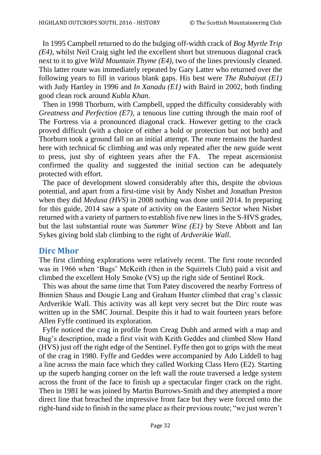In 1995 Campbell returned to do the bulging off-width crack of *Bog Myrtle Trip (E4)*, whilst Neil Craig sight led the excellent short but strenuous diagonal crack next to it to give *Wild Mountain Thyme (E4)*, two of the lines previously cleaned. This latter route was immediately repeated by Gary Latter who returned over the following years to fill in various blank gaps. His best were *The Rubaiyat (E1)* with Judy Hartley in 1996 and *In Xanadu (E1)* with Baird in 2002, both finding good clean rock around *Kubla Khan*.

 Then in 1998 Thorburn, with Campbell, upped the difficulty considerably with *Greatness and Perfection (E7)*, a tenuous line cutting through the main roof of The Fortress via a pronounced diagonal crack. However getting to the crack proved difficult (with a choice of either a hold or protection but not both) and Thorburn took a ground fall on an initial attempt. The route remains the hardest here with technical 6c climbing and was only repeated after the new guide went to press, just shy of eighteen years after the FA. The repeat ascensionist confirmed the quality and suggested the initial section can be adequately protected with effort.

 The pace of development slowed considerably after this, despite the obvious potential, and apart from a first-time visit by Andy Nisbet and Jonathan Preston when they did *Medusa (HVS)* in 2008 nothing was done until 2014. In preparing for this guide, 2014 saw a spate of activity on the Eastern Sector when Nisbet returned with a variety of partners to establish five new lines in the S-HVS grades, but the last substantial route was *Summer Wine (E1)* by Steve Abbott and Ian Sykes giving bold slab climbing to the right of *Ardverikie Wall*.

#### **Dirc Mhor**

The first climbing explorations were relatively recent. The first route recorded was in 1966 when 'Bugs' McKeith (then in the Squirrels Club) paid a visit and climbed the excellent Holy Smoke (VS) up the right side of Sentinel Rock.

 This was about the same time that Tom Patey discovered the nearby Fortress of Binnien Shaus and Dougie Lang and Graham Hunter climbed that crag's classic Ardverikie Wall. This activity was all kept very secret but the Dirc route was written up in the SMC Journal. Despite this it had to wait fourteen years before Allen Fyffe continued its exploration.

 Fyffe noticed the crag in profile from Creag Dubh and armed with a map and Bug's description, made a first visit with Keith Geddes and climbed Slow Hand (HVS) just off the right edge of the Sentinel. Fyffe then got to grips with the meat of the crag in 1980. Fyffe and Geddes were accompanied by Ado Liddell to bag a line across the main face which they called Working Class Hero (E2). Starting up the superb hanging corner on the left wall the route traversed a ledge system across the front of the face to finish up a spectacular finger crack on the right. Then in 1981 he was joined by Martin Burrows-Smith and they attempted a more direct line that breached the impressive front face but they were forced onto the right-hand side to finish in the same place as their previous route; "we just weren't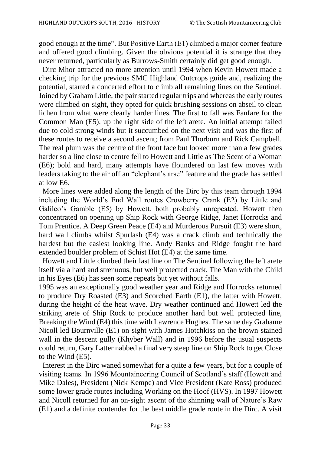good enough at the time". But Positive Earth (E1) climbed a major corner feature and offered good climbing. Given the obvious potential it is strange that they never returned, particularly as Burrows-Smith certainly did get good enough.

 Dirc Mhor attracted no more attention until 1994 when Kevin Howett made a checking trip for the previous SMC Highland Outcrops guide and, realizing the potential, started a concerted effort to climb all remaining lines on the Sentinel. Joined by Graham Little, the pair started regular trips and whereas the early routes were climbed on-sight, they opted for quick brushing sessions on abseil to clean lichen from what were clearly harder lines. The first to fall was Fanfare for the Common Man (E5), up the right side of the left arete. An initial attempt failed due to cold strong winds but it succumbed on the next visit and was the first of these routes to receive a second ascent; from Paul Thorburn and Rick Campbell. The real plum was the centre of the front face but looked more than a few grades harder so a line close to centre fell to Howett and Little as The Scent of a Woman (E6); bold and hard, many attempts have floundered on last few moves with leaders taking to the air off an "elephant's arse" feature and the grade has settled at low E6.

 More lines were added along the length of the Dirc by this team through 1994 including the World's End Wall routes Crowberry Crank (E2) by Little and Galileo's Gamble (E5) by Howett, both probably unrepeated. Howett then concentrated on opening up Ship Rock with George Ridge, Janet Horrocks and Tom Prentice. A Deep Green Peace (E4) and Murderous Pursuit (E3) were short, hard wall climbs whilst Spurlash (E4) was a crack climb and technically the hardest but the easiest looking line. Andy Banks and Ridge fought the hard extended boulder problem of Schist Hot (E4) at the same time.

 Howett and Little climbed their last line on The Sentinel following the left arete itself via a hard and strenuous, but well protected crack. The Man with the Child in his Eyes (E6) has seen some repeats but yet without falls.

1995 was an exceptionally good weather year and Ridge and Horrocks returned to produce Dry Roasted (E3) and Scorched Earth (E1), the latter with Howett, during the height of the heat wave. Dry weather continued and Howett led the striking arete of Ship Rock to produce another hard but well protected line, Breaking the Wind (E4) this time with Lawrence Hughes. The same day Grahame Nicoll led Bournville (E1) on-sight with James Hotchkiss on the brown-stained wall in the descent gully (Khyber Wall) and in 1996 before the usual suspects could return, Gary Latter nabbed a final very steep line on Ship Rock to get Close to the Wind (E5).

 Interest in the Dirc waned somewhat for a quite a few years, but for a couple of visiting teams. In 1996 Mountaineering Council of Scotland's staff (Howett and Mike Dales), President (Nick Kempe) and Vice President (Kate Ross) produced some lower grade routes including Working on the Hoof (HVS). In 1997 Howett and Nicoll returned for an on-sight ascent of the shinning wall of Nature's Raw (E1) and a definite contender for the best middle grade route in the Dirc. A visit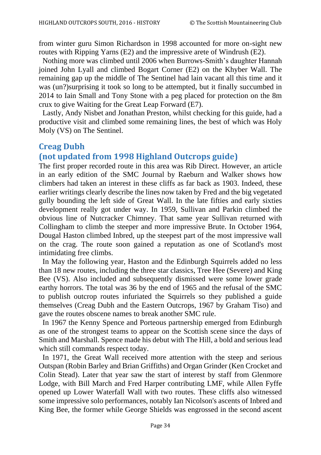from winter guru Simon Richardson in 1998 accounted for more on-sight new routes with Ripping Yarns (E2) and the impressive arete of Windrush (E2).

 Nothing more was climbed until 2006 when Burrows-Smith's daughter Hannah joined John Lyall and climbed Bogart Corner (E2) on the Khyber Wall. The remaining gap up the middle of The Sentinel had lain vacant all this time and it was (un?)surprising it took so long to be attempted, but it finally succumbed in 2014 to Iain Small and Tony Stone with a peg placed for protection on the 8m crux to give Waiting for the Great Leap Forward (E7).

 Lastly, Andy Nisbet and Jonathan Preston, whilst checking for this guide, had a productive visit and climbed some remaining lines, the best of which was Holy Moly (VS) on The Sentinel.

## **Creag Dubh**

## **(not updated from 1998 Highland Outcrops guide)**

The first proper recorded route in this area was Rib Direct. However, an article in an early edition of the SMC Journal by Raeburn and Walker shows how climbers had taken an interest in these cliffs as far back as 1903. Indeed, these earlier writings clearly describe the lines now taken by Fred and the big vegetated gully bounding the left side of Great Wall. In the late fifties and early sixties development really got under way. In 1959, Sullivan and Parkin climbed the obvious line of Nutcracker Chimney. That same year Sullivan returned with Collingham to climb the steeper and more impressive Brute. In October 1964, Dougal Haston climbed Inbred, up the steepest part of the most impressive wall on the crag. The route soon gained a reputation as one of Scotland's most intimidating free climbs.

 In May the following year, Haston and the Edinburgh Squirrels added no less than 18 new routes, including the three star classics, Tree Hee (Severe) and King Bee (VS). Also included and subsequently dismissed were some lower grade earthy horrors. The total was 36 by the end of 1965 and the refusal of the SMC to publish outcrop routes infuriated the Squirrels so they published a guide themselves (Creag Dubh and the Eastern Outcrops, 1967 by Graham Tiso) and gave the routes obscene names to break another SMC rule.

 In 1967 the Kenny Spence and Porteous partnership emerged from Edinburgh as one of the strongest teams to appear on the Scottish scene since the days of Smith and Marshall. Spence made his debut with The Hill, a bold and serious lead which still commands respect today.

 In 1971, the Great Wall received more attention with the steep and serious Outspan (Robin Barley and Brian Griffiths) and Organ Grinder (Ken Crocket and Colin Stead). Later that year saw the start of interest by staff from Glenmore Lodge, with Bill March and Fred Harper contributing LMF, while Allen Fyffe opened up Lower Waterfall Wall with two routes. These cliffs also witnessed some impressive solo performances, notably Ian Nicolson's ascents of Inbred and King Bee, the former while George Shields was engrossed in the second ascent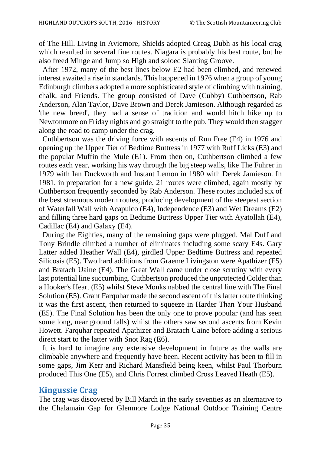of The Hill. Living in Aviemore, Shields adopted Creag Dubh as his local crag which resulted in several fine routes. Niagara is probably his best route, but he also freed Minge and Jump so High and soloed Slanting Groove.

 After 1972, many of the best lines below E2 had been climbed, and renewed interest awaited a rise in standards. This happened in 1976 when a group of young Edinburgh climbers adopted a more sophisticated style of climbing with training, chalk, and Friends. The group consisted of Dave (Cubby) Cuthbertson, Rab Anderson, Alan Taylor, Dave Brown and Derek Jamieson. Although regarded as 'the new breed', they had a sense of tradition and would hitch hike up to Newtonmore on Friday nights and go straight to the pub. They would then stagger along the road to camp under the crag.

 Cuthbertson was the driving force with ascents of Run Free (E4) in 1976 and opening up the Upper Tier of Bedtime Buttress in 1977 with Ruff Licks (E3) and the popular Muffin the Mule (E1). From then on, Cuthbertson climbed a few routes each year, working his way through the big steep walls, like The Fuhrer in 1979 with Ian Duckworth and Instant Lemon in 1980 with Derek Jamieson. In 1981, in preparation for a new guide, 21 routes were climbed, again mostly by Cuthbertson frequently seconded by Rab Anderson. These routes included six of the best strenuous modern routes, producing development of the steepest section of Waterfall Wall with Acapulco (E4), Independence (E3) and Wet Dreams (E2) and filling three hard gaps on Bedtime Buttress Upper Tier with Ayatollah (E4), Cadillac (E4) and Galaxy (E4).

 During the Eighties, many of the remaining gaps were plugged. Mal Duff and Tony Brindle climbed a number of eliminates including some scary E4s. Gary Latter added Heather Wall (E4), girdled Upper Bedtime Buttress and repeated Silicosis (E5). Two hard additions from Graeme Livingston were Apathizer (E5) and Bratach Uaine (E4). The Great Wall came under close scrutiny with every last potential line succumbing. Cuthbertson produced the unprotected Colder than a Hooker's Heart (E5) whilst Steve Monks nabbed the central line with The Final Solution (E5). Grant Farquhar made the second ascent of this latter route thinking it was the first ascent, then returned to squeeze in Harder Than Your Husband (E5). The Final Solution has been the only one to prove popular (and has seen some long, near ground falls) whilst the others saw second ascents from Kevin Howett. Farquhar repeated Apathizer and Bratach Uaine before adding a serious direct start to the latter with Snot Rag (E6).

 It is hard to imagine any extensive development in future as the walls are climbable anywhere and frequently have been. Recent activity has been to fill in some gaps, Jim Kerr and Richard Mansfield being keen, whilst Paul Thorburn produced This One (E5), and Chris Forrest climbed Cross Leaved Heath (E5).

## **Kingussie Crag**

The crag was discovered by Bill March in the early seventies as an alternative to the Chalamain Gap for Glenmore Lodge National Outdoor Training Centre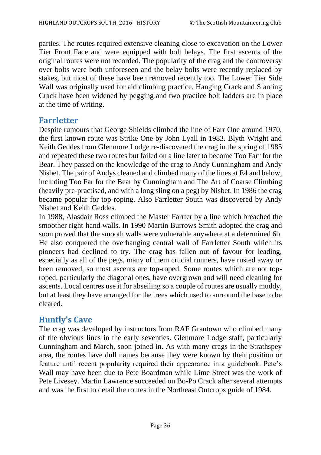parties. The routes required extensive cleaning close to excavation on the Lower Tier Front Face and were equipped with bolt belays. The first ascents of the original routes were not recorded. The popularity of the crag and the controversy over bolts were both unforeseen and the belay bolts were recently replaced by stakes, but most of these have been removed recently too. The Lower Tier Side Wall was originally used for aid climbing practice. Hanging Crack and Slanting Crack have been widened by pegging and two practice bolt ladders are in place at the time of writing.

## **Farrletter**

Despite rumours that George Shields climbed the line of Farr One around 1970, the first known route was Strike One by John Lyall in 1983. Blyth Wright and Keith Geddes from Glenmore Lodge re-discovered the crag in the spring of 1985 and repeated these two routes but failed on a line later to become Too Farr for the Bear. They passed on the knowledge of the crag to Andy Cunningham and Andy Nisbet. The pair of Andys cleaned and climbed many of the lines at E4 and below, including Too Far for the Bear by Cunningham and The Art of Coarse Climbing (heavily pre-practised, and with a long sling on a peg) by Nisbet. In 1986 the crag became popular for top-roping. Also Farrletter South was discovered by Andy Nisbet and Keith Geddes.

In 1988, Alasdair Ross climbed the Master Farrter by a line which breached the smoother right-hand walls. In 1990 Martin Burrows-Smith adopted the crag and soon proved that the smooth walls were vulnerable anywhere at a determined 6b. He also conquered the overhanging central wall of Farrletter South which its pioneers had declined to try. The crag has fallen out of favour for leading, especially as all of the pegs, many of them crucial runners, have rusted away or been removed, so most ascents are top-roped. Some routes which are not toproped, particularly the diagonal ones, have overgrown and will need cleaning for ascents. Local centres use it for abseiling so a couple of routes are usually muddy, but at least they have arranged for the trees which used to surround the base to be cleared.

## **Huntly's Cave**

The crag was developed by instructors from RAF Grantown who climbed many of the obvious lines in the early seventies. Glenmore Lodge staff, particularly Cunningham and March, soon joined in. As with many crags in the Strathspey area, the routes have dull names because they were known by their position or feature until recent popularity required their appearance in a guidebook. Pete's Wall may have been due to Pete Boardman while Lime Street was the work of Pete Livesey. Martin Lawrence succeeded on Bo-Po Crack after several attempts and was the first to detail the routes in the Northeast Outcrops guide of 1984.